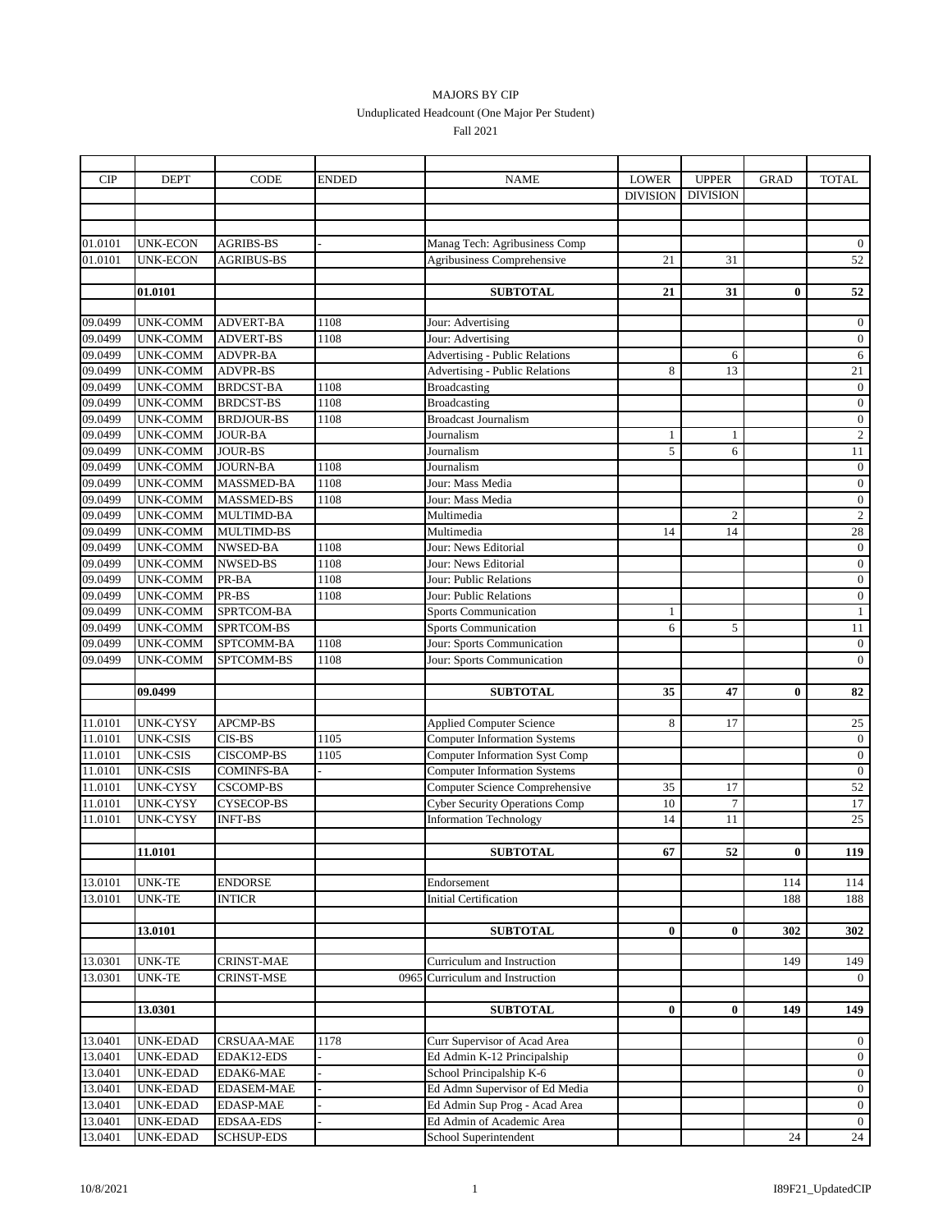| CIP<br><b>UPPER</b><br><b>TOTAL</b><br><b>DEPT</b><br><b>CODE</b><br><b>ENDED</b><br><b>NAME</b><br><b>LOWER</b><br>GRAD<br><b>DIVISION</b><br><b>DIVISION</b><br>01.0101<br><b>UNK-ECON</b><br><b>AGRIBS-BS</b><br>Manag Tech: Agribusiness Comp<br>$\overline{0}$<br>21<br>52<br>UNK-ECON<br><b>AGRIBUS-BS</b><br>Agribusiness Comprehensive<br>31<br>$\bf{0}$<br>52<br>01.0101<br><b>SUBTOTAL</b><br>21<br>31<br>09.0499<br>$\boldsymbol{0}$<br>UNK-COMM<br><b>ADVERT-BA</b><br>1108<br>Jour: Advertising<br>$\boldsymbol{0}$<br>09.0499<br><b>UNK-COMM</b><br><b>ADVERT-BS</b><br>1108<br>Jour: Advertising<br>09.0499<br><b>Advertising - Public Relations</b><br><b>UNK-COMM</b><br><b>ADVPR-BA</b><br>6<br>6<br>09.0499<br><b>UNK-COMM</b><br><b>ADVPR-BS</b><br><b>Advertising - Public Relations</b><br>8<br>13<br>21<br>09.0499<br><b>UNK-COMM</b><br><b>BRDCST-BA</b><br>1108<br><b>Broadcasting</b><br>$\boldsymbol{0}$<br>$\boldsymbol{0}$<br>09.0499<br><b>UNK-COMM</b><br><b>BRDCST-BS</b><br>1108<br><b>Broadcasting</b><br>09.0499<br><b>BRDJOUR-BS</b><br>$\boldsymbol{0}$<br><b>UNK-COMM</b><br>1108<br><b>Broadcast Journalism</b><br>09.0499<br><b>UNK-COMM</b><br><b>JOUR-BA</b><br>$\overline{2}$<br>Journalism<br>1<br>1<br>5<br>6<br>11<br>09.0499<br><b>UNK-COMM</b><br><b>JOUR-BS</b><br>Journalism<br>1108<br>09.0499<br><b>UNK-COMM</b><br>$\boldsymbol{0}$<br><b>JOURN-BA</b><br>Journalism<br>09.0499<br><b>UNK-COMM</b><br>MASSMED-BA<br>1108<br>Jour: Mass Media<br>$\boldsymbol{0}$<br>09.0499<br><b>UNK-COMM</b><br><b>MASSMED-BS</b><br>1108<br>$\boldsymbol{0}$<br>Jour: Mass Media<br>$\overline{c}$<br>09.0499<br><b>UNK-COMM</b><br>MULTIMD-BA<br>Multimedia<br>$\overline{2}$<br>09.0499<br>28<br><b>UNK-COMM</b><br><b>MULTIMD-BS</b><br>14<br>Multimedia<br>14<br>09.0499<br>Jour: News Editorial<br><b>UNK-COMM</b><br><b>NWSED-BA</b><br>1108<br>$\mathbf{0}$<br>1108<br>$\boldsymbol{0}$<br>09.0499<br><b>UNK-COMM</b><br>NWSED-BS<br>Jour: News Editorial<br>$\boldsymbol{0}$<br>09.0499<br><b>UNK-COMM</b><br>1108<br>PR-BA<br>Jour: Public Relations<br>09.0499<br>1108<br>$\boldsymbol{0}$<br><b>UNK-COMM</b><br>PR-BS<br>Jour: Public Relations<br>09.0499<br><b>UNK-COMM</b><br>SPRTCOM-BA<br><b>Sports Communication</b><br>$\mathbf{1}$<br>$\mathbf{1}$<br>09.0499<br><b>UNK-COMM</b><br>SPRTCOM-BS<br>6<br>5<br>11<br><b>Sports Communication</b><br>09.0499<br><b>UNK-COMM</b><br>SPTCOMM-BA<br>1108<br>Jour: Sports Communication<br>$\boldsymbol{0}$<br>09.0499<br>SPTCOMM-BS<br>1108<br>$\mathbf{0}$<br>UNK-COMM<br>Jour: Sports Communication<br>35<br>09.0499<br><b>SUBTOTAL</b><br>47<br>$\bf{0}$<br>82<br>8<br>25<br>11.0101<br>UNK-CYSY<br><b>APCMP-BS</b><br><b>Applied Computer Science</b><br>17<br>$\boldsymbol{0}$<br>11.0101<br><b>UNK-CSIS</b><br>CIS-BS<br>1105<br><b>Computer Information Systems</b><br><b>CISCOMP-BS</b><br>1105<br><b>Computer Information Syst Comp</b><br>$\boldsymbol{0}$<br>11.0101<br><b>UNK-CSIS</b><br>11.0101<br><b>UNK-CSIS</b><br><b>COMINFS-BA</b><br><b>Computer Information Systems</b><br>$\mathbf{0}$<br><b>UNK-CYSY</b><br>Computer Science Comprehensive<br>52<br>11.0101<br>CSCOMP-BS<br>35<br>17<br>$\tau$<br>11.0101<br><b>Cyber Security Operations Comp</b><br>10<br>17<br><b>UNK-CYSY</b><br>CYSECOP-BS<br>11.0101<br><b>UNK-CYSY</b><br><b>Information Technology</b><br>25<br><b>INFT-BS</b><br>14<br>11<br>11.0101<br>67<br>$\overline{52}$<br>$\overline{119}$<br><b>SUBTOTAL</b><br>$\mathbf{0}$<br>13.0101<br>UNK-TE<br><b>ENDORSE</b><br>Endorsement<br>114<br>114<br>13.0101<br><b>UNK-TE</b><br>INTICR<br><b>Initial Certification</b><br>188<br>188<br>13.0101<br><b>SUBTOTAL</b><br>0<br>$\bf{0}$<br>302<br>302<br>13.0301<br><b>UNK-TE</b><br><b>CRINST-MAE</b><br>Curriculum and Instruction<br>149<br>149<br>13.0301<br><b>UNK-TE</b><br><b>CRINST-MSE</b><br>Curriculum and Instruction<br>0965<br>$\bf{0}$<br><b>SUBTOTAL</b><br>149<br>13.0301<br>$\bf{0}$<br>$\bf{0}$<br>149<br>13.0401<br>UNK-EDAD<br><b>CRSUAA-MAE</b><br>1178<br>Curr Supervisor of Acad Area<br>$\overline{0}$<br>13.0401<br><b>UNK-EDAD</b><br>EDAK12-EDS<br>Ed Admin K-12 Principalship<br>$\overline{0}$<br>13.0401<br><b>UNK-EDAD</b><br>EDAK6-MAE<br>School Principalship K-6<br>$\overline{0}$<br>13.0401<br><b>UNK-EDAD</b><br>EDASEM-MAE<br>Ed Admn Supervisor of Ed Media<br>$\overline{0}$<br>13.0401<br>Ed Admin Sup Prog - Acad Area<br><b>UNK-EDAD</b><br>EDASP-MAE<br>$\overline{0}$<br>13.0401<br><b>UNK-EDAD</b><br>Ed Admin of Academic Area<br><b>EDSAA-EDS</b><br>$\overline{0}$<br>13.0401<br>UNK-EDAD<br><b>SCHSUP-EDS</b><br>School Superintendent<br>24<br>24 |         |  |  |  |  |  |
|-----------------------------------------------------------------------------------------------------------------------------------------------------------------------------------------------------------------------------------------------------------------------------------------------------------------------------------------------------------------------------------------------------------------------------------------------------------------------------------------------------------------------------------------------------------------------------------------------------------------------------------------------------------------------------------------------------------------------------------------------------------------------------------------------------------------------------------------------------------------------------------------------------------------------------------------------------------------------------------------------------------------------------------------------------------------------------------------------------------------------------------------------------------------------------------------------------------------------------------------------------------------------------------------------------------------------------------------------------------------------------------------------------------------------------------------------------------------------------------------------------------------------------------------------------------------------------------------------------------------------------------------------------------------------------------------------------------------------------------------------------------------------------------------------------------------------------------------------------------------------------------------------------------------------------------------------------------------------------------------------------------------------------------------------------------------------------------------------------------------------------------------------------------------------------------------------------------------------------------------------------------------------------------------------------------------------------------------------------------------------------------------------------------------------------------------------------------------------------------------------------------------------------------------------------------------------------------------------------------------------------------------------------------------------------------------------------------------------------------------------------------------------------------------------------------------------------------------------------------------------------------------------------------------------------------------------------------------------------------------------------------------------------------------------------------------------------------------------------------------------------------------------------------------------------------------------------------------------------------------------------------------------------------------------------------------------------------------------------------------------------------------------------------------------------------------------------------------------------------------------------------------------------------------------------------------------------------------------------------------------------------------------------------------------------------------------------------------------------------------------------------------------------------------------------------------------------------------------------------------------------------------------------------------------------------------------------------------------------------------------------------------------------------------------------------------------------------------------------------------------------------------------------------------------------------------------------------------------------------------------------------------------------------------------------------------------------------------------------------------------------------------------------------------------------------------------------------------------------------------------------------------------------------------------------------------------------------------------------------------------------------------------------------------------------------------------|---------|--|--|--|--|--|
|                                                                                                                                                                                                                                                                                                                                                                                                                                                                                                                                                                                                                                                                                                                                                                                                                                                                                                                                                                                                                                                                                                                                                                                                                                                                                                                                                                                                                                                                                                                                                                                                                                                                                                                                                                                                                                                                                                                                                                                                                                                                                                                                                                                                                                                                                                                                                                                                                                                                                                                                                                                                                                                                                                                                                                                                                                                                                                                                                                                                                                                                                                                                                                                                                                                                                                                                                                                                                                                                                                                                                                                                                                                                                                                                                                                                                                                                                                                                                                                                                                                                                                                                                                                                                                                                                                                                                                                                                                                                                                                                                                                                                                                                                               |         |  |  |  |  |  |
|                                                                                                                                                                                                                                                                                                                                                                                                                                                                                                                                                                                                                                                                                                                                                                                                                                                                                                                                                                                                                                                                                                                                                                                                                                                                                                                                                                                                                                                                                                                                                                                                                                                                                                                                                                                                                                                                                                                                                                                                                                                                                                                                                                                                                                                                                                                                                                                                                                                                                                                                                                                                                                                                                                                                                                                                                                                                                                                                                                                                                                                                                                                                                                                                                                                                                                                                                                                                                                                                                                                                                                                                                                                                                                                                                                                                                                                                                                                                                                                                                                                                                                                                                                                                                                                                                                                                                                                                                                                                                                                                                                                                                                                                                               |         |  |  |  |  |  |
|                                                                                                                                                                                                                                                                                                                                                                                                                                                                                                                                                                                                                                                                                                                                                                                                                                                                                                                                                                                                                                                                                                                                                                                                                                                                                                                                                                                                                                                                                                                                                                                                                                                                                                                                                                                                                                                                                                                                                                                                                                                                                                                                                                                                                                                                                                                                                                                                                                                                                                                                                                                                                                                                                                                                                                                                                                                                                                                                                                                                                                                                                                                                                                                                                                                                                                                                                                                                                                                                                                                                                                                                                                                                                                                                                                                                                                                                                                                                                                                                                                                                                                                                                                                                                                                                                                                                                                                                                                                                                                                                                                                                                                                                                               |         |  |  |  |  |  |
|                                                                                                                                                                                                                                                                                                                                                                                                                                                                                                                                                                                                                                                                                                                                                                                                                                                                                                                                                                                                                                                                                                                                                                                                                                                                                                                                                                                                                                                                                                                                                                                                                                                                                                                                                                                                                                                                                                                                                                                                                                                                                                                                                                                                                                                                                                                                                                                                                                                                                                                                                                                                                                                                                                                                                                                                                                                                                                                                                                                                                                                                                                                                                                                                                                                                                                                                                                                                                                                                                                                                                                                                                                                                                                                                                                                                                                                                                                                                                                                                                                                                                                                                                                                                                                                                                                                                                                                                                                                                                                                                                                                                                                                                                               |         |  |  |  |  |  |
|                                                                                                                                                                                                                                                                                                                                                                                                                                                                                                                                                                                                                                                                                                                                                                                                                                                                                                                                                                                                                                                                                                                                                                                                                                                                                                                                                                                                                                                                                                                                                                                                                                                                                                                                                                                                                                                                                                                                                                                                                                                                                                                                                                                                                                                                                                                                                                                                                                                                                                                                                                                                                                                                                                                                                                                                                                                                                                                                                                                                                                                                                                                                                                                                                                                                                                                                                                                                                                                                                                                                                                                                                                                                                                                                                                                                                                                                                                                                                                                                                                                                                                                                                                                                                                                                                                                                                                                                                                                                                                                                                                                                                                                                                               |         |  |  |  |  |  |
|                                                                                                                                                                                                                                                                                                                                                                                                                                                                                                                                                                                                                                                                                                                                                                                                                                                                                                                                                                                                                                                                                                                                                                                                                                                                                                                                                                                                                                                                                                                                                                                                                                                                                                                                                                                                                                                                                                                                                                                                                                                                                                                                                                                                                                                                                                                                                                                                                                                                                                                                                                                                                                                                                                                                                                                                                                                                                                                                                                                                                                                                                                                                                                                                                                                                                                                                                                                                                                                                                                                                                                                                                                                                                                                                                                                                                                                                                                                                                                                                                                                                                                                                                                                                                                                                                                                                                                                                                                                                                                                                                                                                                                                                                               | 01.0101 |  |  |  |  |  |
|                                                                                                                                                                                                                                                                                                                                                                                                                                                                                                                                                                                                                                                                                                                                                                                                                                                                                                                                                                                                                                                                                                                                                                                                                                                                                                                                                                                                                                                                                                                                                                                                                                                                                                                                                                                                                                                                                                                                                                                                                                                                                                                                                                                                                                                                                                                                                                                                                                                                                                                                                                                                                                                                                                                                                                                                                                                                                                                                                                                                                                                                                                                                                                                                                                                                                                                                                                                                                                                                                                                                                                                                                                                                                                                                                                                                                                                                                                                                                                                                                                                                                                                                                                                                                                                                                                                                                                                                                                                                                                                                                                                                                                                                                               |         |  |  |  |  |  |
|                                                                                                                                                                                                                                                                                                                                                                                                                                                                                                                                                                                                                                                                                                                                                                                                                                                                                                                                                                                                                                                                                                                                                                                                                                                                                                                                                                                                                                                                                                                                                                                                                                                                                                                                                                                                                                                                                                                                                                                                                                                                                                                                                                                                                                                                                                                                                                                                                                                                                                                                                                                                                                                                                                                                                                                                                                                                                                                                                                                                                                                                                                                                                                                                                                                                                                                                                                                                                                                                                                                                                                                                                                                                                                                                                                                                                                                                                                                                                                                                                                                                                                                                                                                                                                                                                                                                                                                                                                                                                                                                                                                                                                                                                               |         |  |  |  |  |  |
|                                                                                                                                                                                                                                                                                                                                                                                                                                                                                                                                                                                                                                                                                                                                                                                                                                                                                                                                                                                                                                                                                                                                                                                                                                                                                                                                                                                                                                                                                                                                                                                                                                                                                                                                                                                                                                                                                                                                                                                                                                                                                                                                                                                                                                                                                                                                                                                                                                                                                                                                                                                                                                                                                                                                                                                                                                                                                                                                                                                                                                                                                                                                                                                                                                                                                                                                                                                                                                                                                                                                                                                                                                                                                                                                                                                                                                                                                                                                                                                                                                                                                                                                                                                                                                                                                                                                                                                                                                                                                                                                                                                                                                                                                               |         |  |  |  |  |  |
|                                                                                                                                                                                                                                                                                                                                                                                                                                                                                                                                                                                                                                                                                                                                                                                                                                                                                                                                                                                                                                                                                                                                                                                                                                                                                                                                                                                                                                                                                                                                                                                                                                                                                                                                                                                                                                                                                                                                                                                                                                                                                                                                                                                                                                                                                                                                                                                                                                                                                                                                                                                                                                                                                                                                                                                                                                                                                                                                                                                                                                                                                                                                                                                                                                                                                                                                                                                                                                                                                                                                                                                                                                                                                                                                                                                                                                                                                                                                                                                                                                                                                                                                                                                                                                                                                                                                                                                                                                                                                                                                                                                                                                                                                               |         |  |  |  |  |  |
|                                                                                                                                                                                                                                                                                                                                                                                                                                                                                                                                                                                                                                                                                                                                                                                                                                                                                                                                                                                                                                                                                                                                                                                                                                                                                                                                                                                                                                                                                                                                                                                                                                                                                                                                                                                                                                                                                                                                                                                                                                                                                                                                                                                                                                                                                                                                                                                                                                                                                                                                                                                                                                                                                                                                                                                                                                                                                                                                                                                                                                                                                                                                                                                                                                                                                                                                                                                                                                                                                                                                                                                                                                                                                                                                                                                                                                                                                                                                                                                                                                                                                                                                                                                                                                                                                                                                                                                                                                                                                                                                                                                                                                                                                               |         |  |  |  |  |  |
|                                                                                                                                                                                                                                                                                                                                                                                                                                                                                                                                                                                                                                                                                                                                                                                                                                                                                                                                                                                                                                                                                                                                                                                                                                                                                                                                                                                                                                                                                                                                                                                                                                                                                                                                                                                                                                                                                                                                                                                                                                                                                                                                                                                                                                                                                                                                                                                                                                                                                                                                                                                                                                                                                                                                                                                                                                                                                                                                                                                                                                                                                                                                                                                                                                                                                                                                                                                                                                                                                                                                                                                                                                                                                                                                                                                                                                                                                                                                                                                                                                                                                                                                                                                                                                                                                                                                                                                                                                                                                                                                                                                                                                                                                               |         |  |  |  |  |  |
|                                                                                                                                                                                                                                                                                                                                                                                                                                                                                                                                                                                                                                                                                                                                                                                                                                                                                                                                                                                                                                                                                                                                                                                                                                                                                                                                                                                                                                                                                                                                                                                                                                                                                                                                                                                                                                                                                                                                                                                                                                                                                                                                                                                                                                                                                                                                                                                                                                                                                                                                                                                                                                                                                                                                                                                                                                                                                                                                                                                                                                                                                                                                                                                                                                                                                                                                                                                                                                                                                                                                                                                                                                                                                                                                                                                                                                                                                                                                                                                                                                                                                                                                                                                                                                                                                                                                                                                                                                                                                                                                                                                                                                                                                               |         |  |  |  |  |  |
|                                                                                                                                                                                                                                                                                                                                                                                                                                                                                                                                                                                                                                                                                                                                                                                                                                                                                                                                                                                                                                                                                                                                                                                                                                                                                                                                                                                                                                                                                                                                                                                                                                                                                                                                                                                                                                                                                                                                                                                                                                                                                                                                                                                                                                                                                                                                                                                                                                                                                                                                                                                                                                                                                                                                                                                                                                                                                                                                                                                                                                                                                                                                                                                                                                                                                                                                                                                                                                                                                                                                                                                                                                                                                                                                                                                                                                                                                                                                                                                                                                                                                                                                                                                                                                                                                                                                                                                                                                                                                                                                                                                                                                                                                               |         |  |  |  |  |  |
|                                                                                                                                                                                                                                                                                                                                                                                                                                                                                                                                                                                                                                                                                                                                                                                                                                                                                                                                                                                                                                                                                                                                                                                                                                                                                                                                                                                                                                                                                                                                                                                                                                                                                                                                                                                                                                                                                                                                                                                                                                                                                                                                                                                                                                                                                                                                                                                                                                                                                                                                                                                                                                                                                                                                                                                                                                                                                                                                                                                                                                                                                                                                                                                                                                                                                                                                                                                                                                                                                                                                                                                                                                                                                                                                                                                                                                                                                                                                                                                                                                                                                                                                                                                                                                                                                                                                                                                                                                                                                                                                                                                                                                                                                               |         |  |  |  |  |  |
|                                                                                                                                                                                                                                                                                                                                                                                                                                                                                                                                                                                                                                                                                                                                                                                                                                                                                                                                                                                                                                                                                                                                                                                                                                                                                                                                                                                                                                                                                                                                                                                                                                                                                                                                                                                                                                                                                                                                                                                                                                                                                                                                                                                                                                                                                                                                                                                                                                                                                                                                                                                                                                                                                                                                                                                                                                                                                                                                                                                                                                                                                                                                                                                                                                                                                                                                                                                                                                                                                                                                                                                                                                                                                                                                                                                                                                                                                                                                                                                                                                                                                                                                                                                                                                                                                                                                                                                                                                                                                                                                                                                                                                                                                               |         |  |  |  |  |  |
|                                                                                                                                                                                                                                                                                                                                                                                                                                                                                                                                                                                                                                                                                                                                                                                                                                                                                                                                                                                                                                                                                                                                                                                                                                                                                                                                                                                                                                                                                                                                                                                                                                                                                                                                                                                                                                                                                                                                                                                                                                                                                                                                                                                                                                                                                                                                                                                                                                                                                                                                                                                                                                                                                                                                                                                                                                                                                                                                                                                                                                                                                                                                                                                                                                                                                                                                                                                                                                                                                                                                                                                                                                                                                                                                                                                                                                                                                                                                                                                                                                                                                                                                                                                                                                                                                                                                                                                                                                                                                                                                                                                                                                                                                               |         |  |  |  |  |  |
|                                                                                                                                                                                                                                                                                                                                                                                                                                                                                                                                                                                                                                                                                                                                                                                                                                                                                                                                                                                                                                                                                                                                                                                                                                                                                                                                                                                                                                                                                                                                                                                                                                                                                                                                                                                                                                                                                                                                                                                                                                                                                                                                                                                                                                                                                                                                                                                                                                                                                                                                                                                                                                                                                                                                                                                                                                                                                                                                                                                                                                                                                                                                                                                                                                                                                                                                                                                                                                                                                                                                                                                                                                                                                                                                                                                                                                                                                                                                                                                                                                                                                                                                                                                                                                                                                                                                                                                                                                                                                                                                                                                                                                                                                               |         |  |  |  |  |  |
|                                                                                                                                                                                                                                                                                                                                                                                                                                                                                                                                                                                                                                                                                                                                                                                                                                                                                                                                                                                                                                                                                                                                                                                                                                                                                                                                                                                                                                                                                                                                                                                                                                                                                                                                                                                                                                                                                                                                                                                                                                                                                                                                                                                                                                                                                                                                                                                                                                                                                                                                                                                                                                                                                                                                                                                                                                                                                                                                                                                                                                                                                                                                                                                                                                                                                                                                                                                                                                                                                                                                                                                                                                                                                                                                                                                                                                                                                                                                                                                                                                                                                                                                                                                                                                                                                                                                                                                                                                                                                                                                                                                                                                                                                               |         |  |  |  |  |  |
|                                                                                                                                                                                                                                                                                                                                                                                                                                                                                                                                                                                                                                                                                                                                                                                                                                                                                                                                                                                                                                                                                                                                                                                                                                                                                                                                                                                                                                                                                                                                                                                                                                                                                                                                                                                                                                                                                                                                                                                                                                                                                                                                                                                                                                                                                                                                                                                                                                                                                                                                                                                                                                                                                                                                                                                                                                                                                                                                                                                                                                                                                                                                                                                                                                                                                                                                                                                                                                                                                                                                                                                                                                                                                                                                                                                                                                                                                                                                                                                                                                                                                                                                                                                                                                                                                                                                                                                                                                                                                                                                                                                                                                                                                               |         |  |  |  |  |  |
|                                                                                                                                                                                                                                                                                                                                                                                                                                                                                                                                                                                                                                                                                                                                                                                                                                                                                                                                                                                                                                                                                                                                                                                                                                                                                                                                                                                                                                                                                                                                                                                                                                                                                                                                                                                                                                                                                                                                                                                                                                                                                                                                                                                                                                                                                                                                                                                                                                                                                                                                                                                                                                                                                                                                                                                                                                                                                                                                                                                                                                                                                                                                                                                                                                                                                                                                                                                                                                                                                                                                                                                                                                                                                                                                                                                                                                                                                                                                                                                                                                                                                                                                                                                                                                                                                                                                                                                                                                                                                                                                                                                                                                                                                               |         |  |  |  |  |  |
|                                                                                                                                                                                                                                                                                                                                                                                                                                                                                                                                                                                                                                                                                                                                                                                                                                                                                                                                                                                                                                                                                                                                                                                                                                                                                                                                                                                                                                                                                                                                                                                                                                                                                                                                                                                                                                                                                                                                                                                                                                                                                                                                                                                                                                                                                                                                                                                                                                                                                                                                                                                                                                                                                                                                                                                                                                                                                                                                                                                                                                                                                                                                                                                                                                                                                                                                                                                                                                                                                                                                                                                                                                                                                                                                                                                                                                                                                                                                                                                                                                                                                                                                                                                                                                                                                                                                                                                                                                                                                                                                                                                                                                                                                               |         |  |  |  |  |  |
|                                                                                                                                                                                                                                                                                                                                                                                                                                                                                                                                                                                                                                                                                                                                                                                                                                                                                                                                                                                                                                                                                                                                                                                                                                                                                                                                                                                                                                                                                                                                                                                                                                                                                                                                                                                                                                                                                                                                                                                                                                                                                                                                                                                                                                                                                                                                                                                                                                                                                                                                                                                                                                                                                                                                                                                                                                                                                                                                                                                                                                                                                                                                                                                                                                                                                                                                                                                                                                                                                                                                                                                                                                                                                                                                                                                                                                                                                                                                                                                                                                                                                                                                                                                                                                                                                                                                                                                                                                                                                                                                                                                                                                                                                               |         |  |  |  |  |  |
|                                                                                                                                                                                                                                                                                                                                                                                                                                                                                                                                                                                                                                                                                                                                                                                                                                                                                                                                                                                                                                                                                                                                                                                                                                                                                                                                                                                                                                                                                                                                                                                                                                                                                                                                                                                                                                                                                                                                                                                                                                                                                                                                                                                                                                                                                                                                                                                                                                                                                                                                                                                                                                                                                                                                                                                                                                                                                                                                                                                                                                                                                                                                                                                                                                                                                                                                                                                                                                                                                                                                                                                                                                                                                                                                                                                                                                                                                                                                                                                                                                                                                                                                                                                                                                                                                                                                                                                                                                                                                                                                                                                                                                                                                               |         |  |  |  |  |  |
|                                                                                                                                                                                                                                                                                                                                                                                                                                                                                                                                                                                                                                                                                                                                                                                                                                                                                                                                                                                                                                                                                                                                                                                                                                                                                                                                                                                                                                                                                                                                                                                                                                                                                                                                                                                                                                                                                                                                                                                                                                                                                                                                                                                                                                                                                                                                                                                                                                                                                                                                                                                                                                                                                                                                                                                                                                                                                                                                                                                                                                                                                                                                                                                                                                                                                                                                                                                                                                                                                                                                                                                                                                                                                                                                                                                                                                                                                                                                                                                                                                                                                                                                                                                                                                                                                                                                                                                                                                                                                                                                                                                                                                                                                               |         |  |  |  |  |  |
|                                                                                                                                                                                                                                                                                                                                                                                                                                                                                                                                                                                                                                                                                                                                                                                                                                                                                                                                                                                                                                                                                                                                                                                                                                                                                                                                                                                                                                                                                                                                                                                                                                                                                                                                                                                                                                                                                                                                                                                                                                                                                                                                                                                                                                                                                                                                                                                                                                                                                                                                                                                                                                                                                                                                                                                                                                                                                                                                                                                                                                                                                                                                                                                                                                                                                                                                                                                                                                                                                                                                                                                                                                                                                                                                                                                                                                                                                                                                                                                                                                                                                                                                                                                                                                                                                                                                                                                                                                                                                                                                                                                                                                                                                               |         |  |  |  |  |  |
|                                                                                                                                                                                                                                                                                                                                                                                                                                                                                                                                                                                                                                                                                                                                                                                                                                                                                                                                                                                                                                                                                                                                                                                                                                                                                                                                                                                                                                                                                                                                                                                                                                                                                                                                                                                                                                                                                                                                                                                                                                                                                                                                                                                                                                                                                                                                                                                                                                                                                                                                                                                                                                                                                                                                                                                                                                                                                                                                                                                                                                                                                                                                                                                                                                                                                                                                                                                                                                                                                                                                                                                                                                                                                                                                                                                                                                                                                                                                                                                                                                                                                                                                                                                                                                                                                                                                                                                                                                                                                                                                                                                                                                                                                               |         |  |  |  |  |  |
|                                                                                                                                                                                                                                                                                                                                                                                                                                                                                                                                                                                                                                                                                                                                                                                                                                                                                                                                                                                                                                                                                                                                                                                                                                                                                                                                                                                                                                                                                                                                                                                                                                                                                                                                                                                                                                                                                                                                                                                                                                                                                                                                                                                                                                                                                                                                                                                                                                                                                                                                                                                                                                                                                                                                                                                                                                                                                                                                                                                                                                                                                                                                                                                                                                                                                                                                                                                                                                                                                                                                                                                                                                                                                                                                                                                                                                                                                                                                                                                                                                                                                                                                                                                                                                                                                                                                                                                                                                                                                                                                                                                                                                                                                               |         |  |  |  |  |  |
|                                                                                                                                                                                                                                                                                                                                                                                                                                                                                                                                                                                                                                                                                                                                                                                                                                                                                                                                                                                                                                                                                                                                                                                                                                                                                                                                                                                                                                                                                                                                                                                                                                                                                                                                                                                                                                                                                                                                                                                                                                                                                                                                                                                                                                                                                                                                                                                                                                                                                                                                                                                                                                                                                                                                                                                                                                                                                                                                                                                                                                                                                                                                                                                                                                                                                                                                                                                                                                                                                                                                                                                                                                                                                                                                                                                                                                                                                                                                                                                                                                                                                                                                                                                                                                                                                                                                                                                                                                                                                                                                                                                                                                                                                               |         |  |  |  |  |  |
|                                                                                                                                                                                                                                                                                                                                                                                                                                                                                                                                                                                                                                                                                                                                                                                                                                                                                                                                                                                                                                                                                                                                                                                                                                                                                                                                                                                                                                                                                                                                                                                                                                                                                                                                                                                                                                                                                                                                                                                                                                                                                                                                                                                                                                                                                                                                                                                                                                                                                                                                                                                                                                                                                                                                                                                                                                                                                                                                                                                                                                                                                                                                                                                                                                                                                                                                                                                                                                                                                                                                                                                                                                                                                                                                                                                                                                                                                                                                                                                                                                                                                                                                                                                                                                                                                                                                                                                                                                                                                                                                                                                                                                                                                               |         |  |  |  |  |  |
|                                                                                                                                                                                                                                                                                                                                                                                                                                                                                                                                                                                                                                                                                                                                                                                                                                                                                                                                                                                                                                                                                                                                                                                                                                                                                                                                                                                                                                                                                                                                                                                                                                                                                                                                                                                                                                                                                                                                                                                                                                                                                                                                                                                                                                                                                                                                                                                                                                                                                                                                                                                                                                                                                                                                                                                                                                                                                                                                                                                                                                                                                                                                                                                                                                                                                                                                                                                                                                                                                                                                                                                                                                                                                                                                                                                                                                                                                                                                                                                                                                                                                                                                                                                                                                                                                                                                                                                                                                                                                                                                                                                                                                                                                               |         |  |  |  |  |  |
|                                                                                                                                                                                                                                                                                                                                                                                                                                                                                                                                                                                                                                                                                                                                                                                                                                                                                                                                                                                                                                                                                                                                                                                                                                                                                                                                                                                                                                                                                                                                                                                                                                                                                                                                                                                                                                                                                                                                                                                                                                                                                                                                                                                                                                                                                                                                                                                                                                                                                                                                                                                                                                                                                                                                                                                                                                                                                                                                                                                                                                                                                                                                                                                                                                                                                                                                                                                                                                                                                                                                                                                                                                                                                                                                                                                                                                                                                                                                                                                                                                                                                                                                                                                                                                                                                                                                                                                                                                                                                                                                                                                                                                                                                               |         |  |  |  |  |  |
|                                                                                                                                                                                                                                                                                                                                                                                                                                                                                                                                                                                                                                                                                                                                                                                                                                                                                                                                                                                                                                                                                                                                                                                                                                                                                                                                                                                                                                                                                                                                                                                                                                                                                                                                                                                                                                                                                                                                                                                                                                                                                                                                                                                                                                                                                                                                                                                                                                                                                                                                                                                                                                                                                                                                                                                                                                                                                                                                                                                                                                                                                                                                                                                                                                                                                                                                                                                                                                                                                                                                                                                                                                                                                                                                                                                                                                                                                                                                                                                                                                                                                                                                                                                                                                                                                                                                                                                                                                                                                                                                                                                                                                                                                               |         |  |  |  |  |  |
|                                                                                                                                                                                                                                                                                                                                                                                                                                                                                                                                                                                                                                                                                                                                                                                                                                                                                                                                                                                                                                                                                                                                                                                                                                                                                                                                                                                                                                                                                                                                                                                                                                                                                                                                                                                                                                                                                                                                                                                                                                                                                                                                                                                                                                                                                                                                                                                                                                                                                                                                                                                                                                                                                                                                                                                                                                                                                                                                                                                                                                                                                                                                                                                                                                                                                                                                                                                                                                                                                                                                                                                                                                                                                                                                                                                                                                                                                                                                                                                                                                                                                                                                                                                                                                                                                                                                                                                                                                                                                                                                                                                                                                                                                               |         |  |  |  |  |  |
|                                                                                                                                                                                                                                                                                                                                                                                                                                                                                                                                                                                                                                                                                                                                                                                                                                                                                                                                                                                                                                                                                                                                                                                                                                                                                                                                                                                                                                                                                                                                                                                                                                                                                                                                                                                                                                                                                                                                                                                                                                                                                                                                                                                                                                                                                                                                                                                                                                                                                                                                                                                                                                                                                                                                                                                                                                                                                                                                                                                                                                                                                                                                                                                                                                                                                                                                                                                                                                                                                                                                                                                                                                                                                                                                                                                                                                                                                                                                                                                                                                                                                                                                                                                                                                                                                                                                                                                                                                                                                                                                                                                                                                                                                               |         |  |  |  |  |  |
|                                                                                                                                                                                                                                                                                                                                                                                                                                                                                                                                                                                                                                                                                                                                                                                                                                                                                                                                                                                                                                                                                                                                                                                                                                                                                                                                                                                                                                                                                                                                                                                                                                                                                                                                                                                                                                                                                                                                                                                                                                                                                                                                                                                                                                                                                                                                                                                                                                                                                                                                                                                                                                                                                                                                                                                                                                                                                                                                                                                                                                                                                                                                                                                                                                                                                                                                                                                                                                                                                                                                                                                                                                                                                                                                                                                                                                                                                                                                                                                                                                                                                                                                                                                                                                                                                                                                                                                                                                                                                                                                                                                                                                                                                               |         |  |  |  |  |  |
|                                                                                                                                                                                                                                                                                                                                                                                                                                                                                                                                                                                                                                                                                                                                                                                                                                                                                                                                                                                                                                                                                                                                                                                                                                                                                                                                                                                                                                                                                                                                                                                                                                                                                                                                                                                                                                                                                                                                                                                                                                                                                                                                                                                                                                                                                                                                                                                                                                                                                                                                                                                                                                                                                                                                                                                                                                                                                                                                                                                                                                                                                                                                                                                                                                                                                                                                                                                                                                                                                                                                                                                                                                                                                                                                                                                                                                                                                                                                                                                                                                                                                                                                                                                                                                                                                                                                                                                                                                                                                                                                                                                                                                                                                               |         |  |  |  |  |  |
|                                                                                                                                                                                                                                                                                                                                                                                                                                                                                                                                                                                                                                                                                                                                                                                                                                                                                                                                                                                                                                                                                                                                                                                                                                                                                                                                                                                                                                                                                                                                                                                                                                                                                                                                                                                                                                                                                                                                                                                                                                                                                                                                                                                                                                                                                                                                                                                                                                                                                                                                                                                                                                                                                                                                                                                                                                                                                                                                                                                                                                                                                                                                                                                                                                                                                                                                                                                                                                                                                                                                                                                                                                                                                                                                                                                                                                                                                                                                                                                                                                                                                                                                                                                                                                                                                                                                                                                                                                                                                                                                                                                                                                                                                               |         |  |  |  |  |  |
|                                                                                                                                                                                                                                                                                                                                                                                                                                                                                                                                                                                                                                                                                                                                                                                                                                                                                                                                                                                                                                                                                                                                                                                                                                                                                                                                                                                                                                                                                                                                                                                                                                                                                                                                                                                                                                                                                                                                                                                                                                                                                                                                                                                                                                                                                                                                                                                                                                                                                                                                                                                                                                                                                                                                                                                                                                                                                                                                                                                                                                                                                                                                                                                                                                                                                                                                                                                                                                                                                                                                                                                                                                                                                                                                                                                                                                                                                                                                                                                                                                                                                                                                                                                                                                                                                                                                                                                                                                                                                                                                                                                                                                                                                               |         |  |  |  |  |  |
|                                                                                                                                                                                                                                                                                                                                                                                                                                                                                                                                                                                                                                                                                                                                                                                                                                                                                                                                                                                                                                                                                                                                                                                                                                                                                                                                                                                                                                                                                                                                                                                                                                                                                                                                                                                                                                                                                                                                                                                                                                                                                                                                                                                                                                                                                                                                                                                                                                                                                                                                                                                                                                                                                                                                                                                                                                                                                                                                                                                                                                                                                                                                                                                                                                                                                                                                                                                                                                                                                                                                                                                                                                                                                                                                                                                                                                                                                                                                                                                                                                                                                                                                                                                                                                                                                                                                                                                                                                                                                                                                                                                                                                                                                               |         |  |  |  |  |  |
|                                                                                                                                                                                                                                                                                                                                                                                                                                                                                                                                                                                                                                                                                                                                                                                                                                                                                                                                                                                                                                                                                                                                                                                                                                                                                                                                                                                                                                                                                                                                                                                                                                                                                                                                                                                                                                                                                                                                                                                                                                                                                                                                                                                                                                                                                                                                                                                                                                                                                                                                                                                                                                                                                                                                                                                                                                                                                                                                                                                                                                                                                                                                                                                                                                                                                                                                                                                                                                                                                                                                                                                                                                                                                                                                                                                                                                                                                                                                                                                                                                                                                                                                                                                                                                                                                                                                                                                                                                                                                                                                                                                                                                                                                               |         |  |  |  |  |  |
|                                                                                                                                                                                                                                                                                                                                                                                                                                                                                                                                                                                                                                                                                                                                                                                                                                                                                                                                                                                                                                                                                                                                                                                                                                                                                                                                                                                                                                                                                                                                                                                                                                                                                                                                                                                                                                                                                                                                                                                                                                                                                                                                                                                                                                                                                                                                                                                                                                                                                                                                                                                                                                                                                                                                                                                                                                                                                                                                                                                                                                                                                                                                                                                                                                                                                                                                                                                                                                                                                                                                                                                                                                                                                                                                                                                                                                                                                                                                                                                                                                                                                                                                                                                                                                                                                                                                                                                                                                                                                                                                                                                                                                                                                               |         |  |  |  |  |  |
|                                                                                                                                                                                                                                                                                                                                                                                                                                                                                                                                                                                                                                                                                                                                                                                                                                                                                                                                                                                                                                                                                                                                                                                                                                                                                                                                                                                                                                                                                                                                                                                                                                                                                                                                                                                                                                                                                                                                                                                                                                                                                                                                                                                                                                                                                                                                                                                                                                                                                                                                                                                                                                                                                                                                                                                                                                                                                                                                                                                                                                                                                                                                                                                                                                                                                                                                                                                                                                                                                                                                                                                                                                                                                                                                                                                                                                                                                                                                                                                                                                                                                                                                                                                                                                                                                                                                                                                                                                                                                                                                                                                                                                                                                               |         |  |  |  |  |  |
|                                                                                                                                                                                                                                                                                                                                                                                                                                                                                                                                                                                                                                                                                                                                                                                                                                                                                                                                                                                                                                                                                                                                                                                                                                                                                                                                                                                                                                                                                                                                                                                                                                                                                                                                                                                                                                                                                                                                                                                                                                                                                                                                                                                                                                                                                                                                                                                                                                                                                                                                                                                                                                                                                                                                                                                                                                                                                                                                                                                                                                                                                                                                                                                                                                                                                                                                                                                                                                                                                                                                                                                                                                                                                                                                                                                                                                                                                                                                                                                                                                                                                                                                                                                                                                                                                                                                                                                                                                                                                                                                                                                                                                                                                               |         |  |  |  |  |  |
|                                                                                                                                                                                                                                                                                                                                                                                                                                                                                                                                                                                                                                                                                                                                                                                                                                                                                                                                                                                                                                                                                                                                                                                                                                                                                                                                                                                                                                                                                                                                                                                                                                                                                                                                                                                                                                                                                                                                                                                                                                                                                                                                                                                                                                                                                                                                                                                                                                                                                                                                                                                                                                                                                                                                                                                                                                                                                                                                                                                                                                                                                                                                                                                                                                                                                                                                                                                                                                                                                                                                                                                                                                                                                                                                                                                                                                                                                                                                                                                                                                                                                                                                                                                                                                                                                                                                                                                                                                                                                                                                                                                                                                                                                               |         |  |  |  |  |  |
|                                                                                                                                                                                                                                                                                                                                                                                                                                                                                                                                                                                                                                                                                                                                                                                                                                                                                                                                                                                                                                                                                                                                                                                                                                                                                                                                                                                                                                                                                                                                                                                                                                                                                                                                                                                                                                                                                                                                                                                                                                                                                                                                                                                                                                                                                                                                                                                                                                                                                                                                                                                                                                                                                                                                                                                                                                                                                                                                                                                                                                                                                                                                                                                                                                                                                                                                                                                                                                                                                                                                                                                                                                                                                                                                                                                                                                                                                                                                                                                                                                                                                                                                                                                                                                                                                                                                                                                                                                                                                                                                                                                                                                                                                               |         |  |  |  |  |  |
|                                                                                                                                                                                                                                                                                                                                                                                                                                                                                                                                                                                                                                                                                                                                                                                                                                                                                                                                                                                                                                                                                                                                                                                                                                                                                                                                                                                                                                                                                                                                                                                                                                                                                                                                                                                                                                                                                                                                                                                                                                                                                                                                                                                                                                                                                                                                                                                                                                                                                                                                                                                                                                                                                                                                                                                                                                                                                                                                                                                                                                                                                                                                                                                                                                                                                                                                                                                                                                                                                                                                                                                                                                                                                                                                                                                                                                                                                                                                                                                                                                                                                                                                                                                                                                                                                                                                                                                                                                                                                                                                                                                                                                                                                               |         |  |  |  |  |  |
|                                                                                                                                                                                                                                                                                                                                                                                                                                                                                                                                                                                                                                                                                                                                                                                                                                                                                                                                                                                                                                                                                                                                                                                                                                                                                                                                                                                                                                                                                                                                                                                                                                                                                                                                                                                                                                                                                                                                                                                                                                                                                                                                                                                                                                                                                                                                                                                                                                                                                                                                                                                                                                                                                                                                                                                                                                                                                                                                                                                                                                                                                                                                                                                                                                                                                                                                                                                                                                                                                                                                                                                                                                                                                                                                                                                                                                                                                                                                                                                                                                                                                                                                                                                                                                                                                                                                                                                                                                                                                                                                                                                                                                                                                               |         |  |  |  |  |  |
|                                                                                                                                                                                                                                                                                                                                                                                                                                                                                                                                                                                                                                                                                                                                                                                                                                                                                                                                                                                                                                                                                                                                                                                                                                                                                                                                                                                                                                                                                                                                                                                                                                                                                                                                                                                                                                                                                                                                                                                                                                                                                                                                                                                                                                                                                                                                                                                                                                                                                                                                                                                                                                                                                                                                                                                                                                                                                                                                                                                                                                                                                                                                                                                                                                                                                                                                                                                                                                                                                                                                                                                                                                                                                                                                                                                                                                                                                                                                                                                                                                                                                                                                                                                                                                                                                                                                                                                                                                                                                                                                                                                                                                                                                               |         |  |  |  |  |  |
|                                                                                                                                                                                                                                                                                                                                                                                                                                                                                                                                                                                                                                                                                                                                                                                                                                                                                                                                                                                                                                                                                                                                                                                                                                                                                                                                                                                                                                                                                                                                                                                                                                                                                                                                                                                                                                                                                                                                                                                                                                                                                                                                                                                                                                                                                                                                                                                                                                                                                                                                                                                                                                                                                                                                                                                                                                                                                                                                                                                                                                                                                                                                                                                                                                                                                                                                                                                                                                                                                                                                                                                                                                                                                                                                                                                                                                                                                                                                                                                                                                                                                                                                                                                                                                                                                                                                                                                                                                                                                                                                                                                                                                                                                               |         |  |  |  |  |  |
|                                                                                                                                                                                                                                                                                                                                                                                                                                                                                                                                                                                                                                                                                                                                                                                                                                                                                                                                                                                                                                                                                                                                                                                                                                                                                                                                                                                                                                                                                                                                                                                                                                                                                                                                                                                                                                                                                                                                                                                                                                                                                                                                                                                                                                                                                                                                                                                                                                                                                                                                                                                                                                                                                                                                                                                                                                                                                                                                                                                                                                                                                                                                                                                                                                                                                                                                                                                                                                                                                                                                                                                                                                                                                                                                                                                                                                                                                                                                                                                                                                                                                                                                                                                                                                                                                                                                                                                                                                                                                                                                                                                                                                                                                               |         |  |  |  |  |  |
|                                                                                                                                                                                                                                                                                                                                                                                                                                                                                                                                                                                                                                                                                                                                                                                                                                                                                                                                                                                                                                                                                                                                                                                                                                                                                                                                                                                                                                                                                                                                                                                                                                                                                                                                                                                                                                                                                                                                                                                                                                                                                                                                                                                                                                                                                                                                                                                                                                                                                                                                                                                                                                                                                                                                                                                                                                                                                                                                                                                                                                                                                                                                                                                                                                                                                                                                                                                                                                                                                                                                                                                                                                                                                                                                                                                                                                                                                                                                                                                                                                                                                                                                                                                                                                                                                                                                                                                                                                                                                                                                                                                                                                                                                               |         |  |  |  |  |  |
|                                                                                                                                                                                                                                                                                                                                                                                                                                                                                                                                                                                                                                                                                                                                                                                                                                                                                                                                                                                                                                                                                                                                                                                                                                                                                                                                                                                                                                                                                                                                                                                                                                                                                                                                                                                                                                                                                                                                                                                                                                                                                                                                                                                                                                                                                                                                                                                                                                                                                                                                                                                                                                                                                                                                                                                                                                                                                                                                                                                                                                                                                                                                                                                                                                                                                                                                                                                                                                                                                                                                                                                                                                                                                                                                                                                                                                                                                                                                                                                                                                                                                                                                                                                                                                                                                                                                                                                                                                                                                                                                                                                                                                                                                               |         |  |  |  |  |  |
|                                                                                                                                                                                                                                                                                                                                                                                                                                                                                                                                                                                                                                                                                                                                                                                                                                                                                                                                                                                                                                                                                                                                                                                                                                                                                                                                                                                                                                                                                                                                                                                                                                                                                                                                                                                                                                                                                                                                                                                                                                                                                                                                                                                                                                                                                                                                                                                                                                                                                                                                                                                                                                                                                                                                                                                                                                                                                                                                                                                                                                                                                                                                                                                                                                                                                                                                                                                                                                                                                                                                                                                                                                                                                                                                                                                                                                                                                                                                                                                                                                                                                                                                                                                                                                                                                                                                                                                                                                                                                                                                                                                                                                                                                               |         |  |  |  |  |  |
|                                                                                                                                                                                                                                                                                                                                                                                                                                                                                                                                                                                                                                                                                                                                                                                                                                                                                                                                                                                                                                                                                                                                                                                                                                                                                                                                                                                                                                                                                                                                                                                                                                                                                                                                                                                                                                                                                                                                                                                                                                                                                                                                                                                                                                                                                                                                                                                                                                                                                                                                                                                                                                                                                                                                                                                                                                                                                                                                                                                                                                                                                                                                                                                                                                                                                                                                                                                                                                                                                                                                                                                                                                                                                                                                                                                                                                                                                                                                                                                                                                                                                                                                                                                                                                                                                                                                                                                                                                                                                                                                                                                                                                                                                               |         |  |  |  |  |  |
|                                                                                                                                                                                                                                                                                                                                                                                                                                                                                                                                                                                                                                                                                                                                                                                                                                                                                                                                                                                                                                                                                                                                                                                                                                                                                                                                                                                                                                                                                                                                                                                                                                                                                                                                                                                                                                                                                                                                                                                                                                                                                                                                                                                                                                                                                                                                                                                                                                                                                                                                                                                                                                                                                                                                                                                                                                                                                                                                                                                                                                                                                                                                                                                                                                                                                                                                                                                                                                                                                                                                                                                                                                                                                                                                                                                                                                                                                                                                                                                                                                                                                                                                                                                                                                                                                                                                                                                                                                                                                                                                                                                                                                                                                               |         |  |  |  |  |  |
|                                                                                                                                                                                                                                                                                                                                                                                                                                                                                                                                                                                                                                                                                                                                                                                                                                                                                                                                                                                                                                                                                                                                                                                                                                                                                                                                                                                                                                                                                                                                                                                                                                                                                                                                                                                                                                                                                                                                                                                                                                                                                                                                                                                                                                                                                                                                                                                                                                                                                                                                                                                                                                                                                                                                                                                                                                                                                                                                                                                                                                                                                                                                                                                                                                                                                                                                                                                                                                                                                                                                                                                                                                                                                                                                                                                                                                                                                                                                                                                                                                                                                                                                                                                                                                                                                                                                                                                                                                                                                                                                                                                                                                                                                               |         |  |  |  |  |  |
|                                                                                                                                                                                                                                                                                                                                                                                                                                                                                                                                                                                                                                                                                                                                                                                                                                                                                                                                                                                                                                                                                                                                                                                                                                                                                                                                                                                                                                                                                                                                                                                                                                                                                                                                                                                                                                                                                                                                                                                                                                                                                                                                                                                                                                                                                                                                                                                                                                                                                                                                                                                                                                                                                                                                                                                                                                                                                                                                                                                                                                                                                                                                                                                                                                                                                                                                                                                                                                                                                                                                                                                                                                                                                                                                                                                                                                                                                                                                                                                                                                                                                                                                                                                                                                                                                                                                                                                                                                                                                                                                                                                                                                                                                               |         |  |  |  |  |  |
|                                                                                                                                                                                                                                                                                                                                                                                                                                                                                                                                                                                                                                                                                                                                                                                                                                                                                                                                                                                                                                                                                                                                                                                                                                                                                                                                                                                                                                                                                                                                                                                                                                                                                                                                                                                                                                                                                                                                                                                                                                                                                                                                                                                                                                                                                                                                                                                                                                                                                                                                                                                                                                                                                                                                                                                                                                                                                                                                                                                                                                                                                                                                                                                                                                                                                                                                                                                                                                                                                                                                                                                                                                                                                                                                                                                                                                                                                                                                                                                                                                                                                                                                                                                                                                                                                                                                                                                                                                                                                                                                                                                                                                                                                               |         |  |  |  |  |  |
|                                                                                                                                                                                                                                                                                                                                                                                                                                                                                                                                                                                                                                                                                                                                                                                                                                                                                                                                                                                                                                                                                                                                                                                                                                                                                                                                                                                                                                                                                                                                                                                                                                                                                                                                                                                                                                                                                                                                                                                                                                                                                                                                                                                                                                                                                                                                                                                                                                                                                                                                                                                                                                                                                                                                                                                                                                                                                                                                                                                                                                                                                                                                                                                                                                                                                                                                                                                                                                                                                                                                                                                                                                                                                                                                                                                                                                                                                                                                                                                                                                                                                                                                                                                                                                                                                                                                                                                                                                                                                                                                                                                                                                                                                               |         |  |  |  |  |  |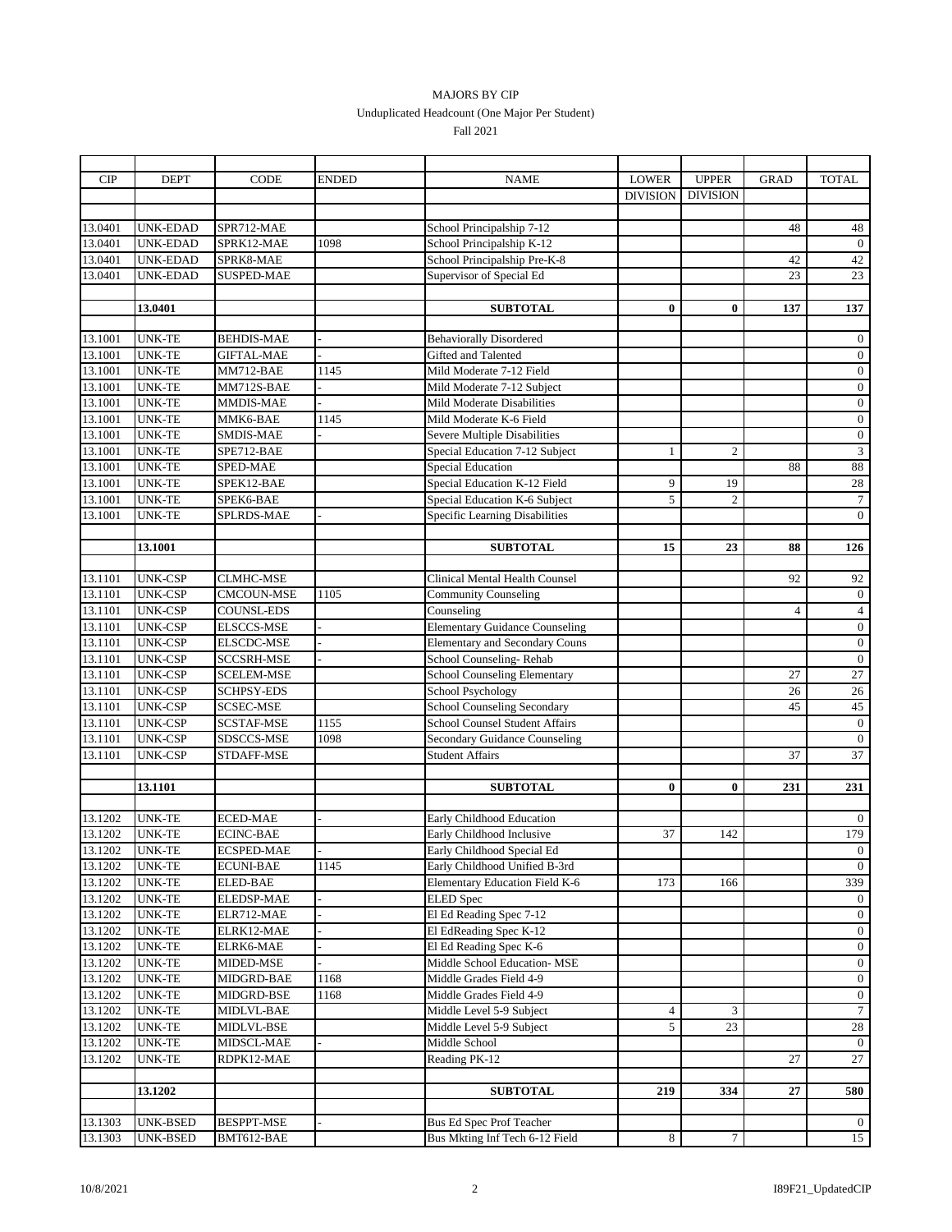| CIP     | <b>DEPT</b>     | CODE              | <b>ENDED</b> | <b>NAME</b>                           | <b>LOWER</b>    | <b>UPPER</b>    | <b>GRAD</b>    | <b>TOTAL</b>             |
|---------|-----------------|-------------------|--------------|---------------------------------------|-----------------|-----------------|----------------|--------------------------|
|         |                 |                   |              |                                       | <b>DIVISION</b> | <b>DIVISION</b> |                |                          |
|         |                 |                   |              |                                       |                 |                 |                |                          |
| 13.0401 | <b>UNK-EDAD</b> | SPR712-MAE        |              | School Principalship 7-12             |                 |                 | 48             | 48                       |
| 13.0401 | <b>UNK-EDAD</b> | SPRK12-MAE        | 1098         | School Principalship K-12             |                 |                 |                | $\overline{0}$           |
| 13.0401 | <b>UNK-EDAD</b> | SPRK8-MAE         |              | School Principalship Pre-K-8          |                 |                 | 42             | 42                       |
| 13.0401 | <b>UNK-EDAD</b> | SUSPED-MAE        |              | Supervisor of Special Ed              |                 |                 | 23             | 23                       |
|         |                 |                   |              |                                       |                 |                 |                |                          |
|         | 13.0401         |                   |              | <b>SUBTOTAL</b>                       | $\bf{0}$        | $\bf{0}$        | 137            | 137                      |
|         |                 |                   |              |                                       |                 |                 |                |                          |
| 13.1001 | <b>UNK-TE</b>   | <b>BEHDIS-MAE</b> |              | <b>Behaviorally Disordered</b>        |                 |                 |                | $\overline{0}$           |
| 13.1001 | <b>UNK-TE</b>   | <b>GIFTAL-MAE</b> |              | Gifted and Talented                   |                 |                 |                | $\overline{0}$           |
| 13.1001 | <b>UNK-TE</b>   | MM712-BAE         | 1145         | Mild Moderate 7-12 Field              |                 |                 |                | $\overline{0}$           |
| 13.1001 | <b>UNK-TE</b>   | MM712S-BAE        |              | Mild Moderate 7-12 Subject            |                 |                 |                | $\boldsymbol{0}$         |
| 13.1001 | <b>UNK-TE</b>   | <b>MMDIS-MAE</b>  |              | Mild Moderate Disabilities            |                 |                 |                | $\overline{0}$           |
| 13.1001 | <b>UNK-TE</b>   | MMK6-BAE          | 1145         | Mild Moderate K-6 Field               |                 |                 |                | $\overline{0}$           |
| 13.1001 | <b>UNK-TE</b>   | <b>SMDIS-MAE</b>  |              | Severe Multiple Disabilities          |                 |                 |                | $\mathbf{0}$             |
| 13.1001 | <b>UNK-TE</b>   | SPE712-BAE        |              | Special Education 7-12 Subject        | 1               | $\mathfrak{2}$  |                | $\mathfrak{Z}$           |
| 13.1001 | <b>UNK-TE</b>   | SPED-MAE          |              | <b>Special Education</b>              |                 |                 | 88             | $\overline{\textbf{88}}$ |
| 13.1001 | <b>UNK-TE</b>   | SPEK12-BAE        |              | Special Education K-12 Field          | 9               | 19              |                | 28                       |
| 13.1001 | <b>UNK-TE</b>   | SPEK6-BAE         |              | Special Education K-6 Subject         | 5               | 2               |                | $\overline{7}$           |
| 13.1001 | <b>UNK-TE</b>   | SPLRDS-MAE        |              | <b>Specific Learning Disabilities</b> |                 |                 |                | $\overline{0}$           |
|         |                 |                   |              |                                       |                 |                 |                |                          |
|         | 13.1001         |                   |              | <b>SUBTOTAL</b>                       | 15              | 23              | 88             | 126                      |
|         |                 |                   |              |                                       |                 |                 |                |                          |
| 13.1101 | <b>UNK-CSP</b>  | <b>CLMHC-MSE</b>  |              | Clinical Mental Health Counsel        |                 |                 | 92             | 92                       |
| 13.1101 | <b>UNK-CSP</b>  | CMCOUN-MSE        | 1105         | <b>Community Counseling</b>           |                 |                 |                | $\mathbf{0}$             |
| 13.1101 | UNK-CSP         | COUNSL-EDS        |              | Counseling                            |                 |                 | $\overline{4}$ | $\overline{4}$           |
| 13.1101 | <b>UNK-CSP</b>  | <b>ELSCCS-MSE</b> |              | <b>Elementary Guidance Counseling</b> |                 |                 |                | $\mathbf{0}$             |
| 13.1101 | <b>UNK-CSP</b>  | <b>ELSCDC-MSE</b> |              | <b>Elementary and Secondary Couns</b> |                 |                 |                | $\overline{0}$           |
| 13.1101 | <b>UNK-CSP</b>  | SCCSRH-MSE        |              | School Counseling-Rehab               |                 |                 |                | $\overline{0}$           |
| 13.1101 | <b>UNK-CSP</b>  | <b>SCELEM-MSE</b> |              | School Counseling Elementary          |                 |                 | 27             | 27                       |
| 13.1101 | <b>UNK-CSP</b>  | <b>SCHPSY-EDS</b> |              | <b>School Psychology</b>              |                 |                 | 26             | 26                       |
| 13.1101 | <b>UNK-CSP</b>  | <b>SCSEC-MSE</b>  |              | School Counseling Secondary           |                 |                 | 45             | 45                       |
| 13.1101 | <b>UNK-CSP</b>  | SCSTAF-MSE        | 1155         | School Counsel Student Affairs        |                 |                 |                | $\overline{0}$           |
| 13.1101 | <b>UNK-CSP</b>  | SDSCCS-MSE        | 1098         | Secondary Guidance Counseling         |                 |                 |                | $\overline{0}$           |
| 13.1101 | <b>UNK-CSP</b>  | STDAFF-MSE        |              | <b>Student Affairs</b>                |                 |                 | 37             | 37                       |
|         |                 |                   |              |                                       |                 |                 |                |                          |
|         | 13.1101         |                   |              | <b>SUBTOTAL</b>                       | $\bf{0}$        | $\bf{0}$        | 231            | 231                      |
| 13.1202 | <b>UNK-TE</b>   | ECED-MAE          |              | Early Childhood Education             |                 |                 |                | $\overline{0}$           |
| 13.1202 | <b>UNK-TE</b>   | ECINC-BAE         |              | Early Childhood Inclusive             | 37              | 142             |                | 179                      |
| 13.1202 | <b>UNK-TE</b>   | <b>ECSPED-MAE</b> |              | Early Childhood Special Ed            |                 |                 |                | $\boldsymbol{0}$         |
| 13.1202 | <b>UNK-TE</b>   | <b>ECUNI-BAE</b>  | 1145         | Early Childhood Unified B-3rd         |                 |                 |                | $\overline{0}$           |
| 13.1202 | <b>UNK-TE</b>   | ELED-BAE          |              | <b>Elementary Education Field K-6</b> | 173             | 166             |                | 339                      |
| 13.1202 | <b>UNK-TE</b>   | ELEDSP-MAE        |              | <b>ELED</b> Spec                      |                 |                 |                | $\overline{0}$           |
| 13.1202 | <b>UNK-TE</b>   | ELR712-MAE        |              | El Ed Reading Spec 7-12               |                 |                 |                | $\overline{0}$           |
| 13.1202 | UNK-TE          | ELRK12-MAE        |              | El EdReading Spec K-12                |                 |                 |                | $\overline{0}$           |
| 13.1202 | <b>UNK-TE</b>   | ELRK6-MAE         |              | El Ed Reading Spec K-6                |                 |                 |                | $\overline{0}$           |
| 13.1202 | <b>UNK-TE</b>   | MIDED-MSE         |              | Middle School Education-MSE           |                 |                 |                | $\overline{0}$           |
| 13.1202 | UNK-TE          | MIDGRD-BAE        | 1168         | Middle Grades Field 4-9               |                 |                 |                | $\overline{0}$           |
| 13.1202 | UNK-TE          | MIDGRD-BSE        | 1168         | Middle Grades Field 4-9               |                 |                 |                | $\overline{0}$           |
| 13.1202 | <b>UNK-TE</b>   | MIDLVL-BAE        |              | Middle Level 5-9 Subject              | 4               | 3               |                | $7\phantom{.0}$          |
| 13.1202 | UNK-TE          | MIDLVL-BSE        |              | Middle Level 5-9 Subject              | 5               | 23              |                | 28                       |
| 13.1202 | <b>UNK-TE</b>   | MIDSCL-MAE        |              | Middle School                         |                 |                 |                | $\overline{0}$           |
| 13.1202 | UNK-TE          | RDPK12-MAE        |              | Reading PK-12                         |                 |                 | 27             | 27                       |
|         |                 |                   |              |                                       |                 |                 |                |                          |
|         | 13.1202         |                   |              | <b>SUBTOTAL</b>                       | 219             | 334             | 27             | 580                      |
|         |                 |                   |              |                                       |                 |                 |                |                          |
| 13.1303 | UNK-BSED        | <b>BESPPT-MSE</b> |              | Bus Ed Spec Prof Teacher              |                 |                 |                | $\overline{0}$           |
| 13.1303 | UNK-BSED        | BMT612-BAE        |              | Bus Mkting Inf Tech 6-12 Field        | 8               | $7\phantom{.0}$ |                | 15                       |
|         |                 |                   |              |                                       |                 |                 |                |                          |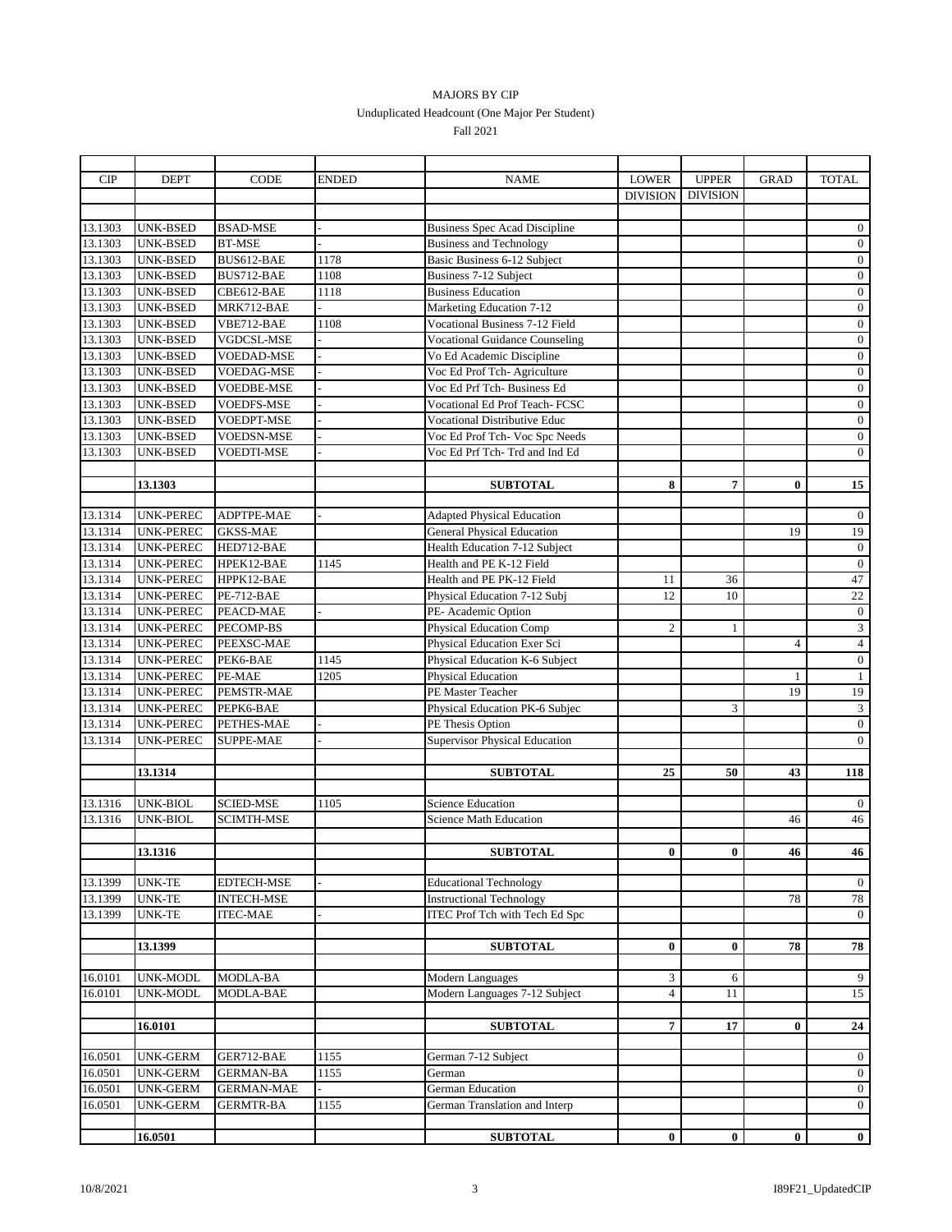| CIP                | <b>DEPT</b>      | CODE              | <b>ENDED</b> | <b>NAME</b>                                                              | <b>LOWER</b>    | <b>UPPER</b>    | <b>GRAD</b>    | <b>TOTAL</b>     |
|--------------------|------------------|-------------------|--------------|--------------------------------------------------------------------------|-----------------|-----------------|----------------|------------------|
|                    |                  |                   |              |                                                                          | <b>DIVISION</b> | <b>DIVISION</b> |                |                  |
|                    |                  |                   |              |                                                                          |                 |                 |                |                  |
| 13.1303            | <b>UNK-BSED</b>  | <b>BSAD-MSE</b>   |              | <b>Business Spec Acad Discipline</b>                                     |                 |                 |                | $\boldsymbol{0}$ |
| 13.1303            | <b>UNK-BSED</b>  | <b>BT-MSE</b>     |              | <b>Business and Technology</b>                                           |                 |                 |                | $\mathbf{0}$     |
| 13.1303            | <b>UNK-BSED</b>  | BUS612-BAE        | 1178         | Basic Business 6-12 Subject                                              |                 |                 |                | $\overline{0}$   |
| 13.1303            | <b>UNK-BSED</b>  | BUS712-BAE        | 1108         | Business 7-12 Subject                                                    |                 |                 |                | $\boldsymbol{0}$ |
| 13.1303            | <b>UNK-BSED</b>  | CBE612-BAE        | 1118         | <b>Business Education</b>                                                |                 |                 |                | $\boldsymbol{0}$ |
| 13.1303            | <b>UNK-BSED</b>  | MRK712-BAE        |              | Marketing Education 7-12                                                 |                 |                 |                | $\boldsymbol{0}$ |
| 13.1303            | <b>UNK-BSED</b>  | VBE712-BAE        | 1108         | Vocational Business 7-12 Field                                           |                 |                 |                | $\boldsymbol{0}$ |
| 13.1303            | <b>UNK-BSED</b>  | <b>VGDCSL-MSE</b> |              | <b>Vocational Guidance Counseling</b>                                    |                 |                 |                | $\boldsymbol{0}$ |
| 13.1303            | <b>UNK-BSED</b>  | <b>VOEDAD-MSE</b> |              | Vo Ed Academic Discipline                                                |                 |                 |                | $\boldsymbol{0}$ |
| 13.1303            | <b>UNK-BSED</b>  | <b>VOEDAG-MSE</b> |              | Voc Ed Prof Tch-Agriculture                                              |                 |                 |                | $\boldsymbol{0}$ |
| 13.1303            | <b>UNK-BSED</b>  | VOEDBE-MSE        |              | Voc Ed Prf Tch-Business Ed                                               |                 |                 |                | $\boldsymbol{0}$ |
| 13.1303            | <b>UNK-BSED</b>  | <b>VOEDFS-MSE</b> |              | Vocational Ed Prof Teach- FCSC                                           |                 |                 |                | $\boldsymbol{0}$ |
| 13.1303            | <b>UNK-BSED</b>  | <b>VOEDPT-MSE</b> |              | <b>Vocational Distributive Educ</b>                                      |                 |                 |                | $\mathbf{0}$     |
| 13.1303            | <b>UNK-BSED</b>  | <b>VOEDSN-MSE</b> |              | Voc Ed Prof Tch- Voc Spc Needs                                           |                 |                 |                | $\overline{0}$   |
| 13.1303            | UNK-BSED         | VOEDTI-MSE        |              | Voc Ed Prf Tch-Trd and Ind Ed                                            |                 |                 |                | $\boldsymbol{0}$ |
|                    |                  |                   |              |                                                                          |                 |                 |                |                  |
|                    | 13.1303          |                   |              | <b>SUBTOTAL</b>                                                          | 8               | 7               | $\bf{0}$       | 15               |
|                    |                  |                   |              |                                                                          |                 |                 |                |                  |
| 13.1314            | <b>UNK-PEREC</b> | ADPTPE-MAE        |              | <b>Adapted Physical Education</b>                                        |                 |                 |                | $\boldsymbol{0}$ |
| 13.1314            | <b>UNK-PEREC</b> | <b>GKSS-MAE</b>   |              | <b>General Physical Education</b>                                        |                 |                 | 19             | 19               |
| 13.1314            | <b>UNK-PEREC</b> | HED712-BAE        |              | Health Education 7-12 Subject                                            |                 |                 |                | $\mathbf{0}$     |
| 13.1314            | <b>UNK-PEREC</b> | HPEK12-BAE        | 1145         | Health and PE K-12 Field                                                 |                 |                 |                | $\overline{0}$   |
| 13.1314            | <b>UNK-PEREC</b> | HPPK12-BAE        |              | Health and PE PK-12 Field                                                | 11              | 36              |                | $47\,$           |
| 13.1314            | <b>UNK-PEREC</b> | <b>PE-712-BAE</b> |              | Physical Education 7-12 Subj                                             | 12              | 10              |                | 22               |
| 13.1314            | UNK-PEREC        | PEACD-MAE         |              | PE- Academic Option                                                      |                 |                 |                | $\mathbf{0}$     |
| 13.1314            | UNK-PEREC        | <b>PECOMP-BS</b>  |              | <b>Physical Education Comp</b>                                           | $\mathbf{2}$    | 1               |                | $\overline{3}$   |
| 13.1314            | <b>UNK-PEREC</b> | PEEXSC-MAE        |              | Physical Education Exer Sci                                              |                 |                 | $\overline{4}$ | $\overline{4}$   |
| 13.1314            | <b>UNK-PEREC</b> | PEK6-BAE          | 1145         | Physical Education K-6 Subject                                           |                 |                 |                | $\mathbf{0}$     |
| 13.1314            | <b>UNK-PEREC</b> | PE-MAE            | 1205         | <b>Physical Education</b>                                                |                 |                 | 1              | $\mathbf{1}$     |
| 13.1314            | <b>UNK-PEREC</b> | PEMSTR-MAE        |              | PE Master Teacher                                                        |                 |                 | 19             | 19               |
| 13.1314            | <b>UNK-PEREC</b> | PEPK6-BAE         |              | Physical Education PK-6 Subjec                                           |                 | 3               |                | $\overline{3}$   |
| 13.1314            | <b>UNK-PEREC</b> | PETHES-MAE        |              | PE Thesis Option                                                         |                 |                 |                | $\overline{0}$   |
| 13.1314            | <b>UNK-PEREC</b> | <b>SUPPE-MAE</b>  |              | <b>Supervisor Physical Education</b>                                     |                 |                 |                | $\overline{0}$   |
|                    |                  |                   |              |                                                                          |                 |                 |                |                  |
|                    | 13.1314          |                   |              | <b>SUBTOTAL</b>                                                          | 25              | 50              | 43             | 118              |
|                    |                  |                   |              |                                                                          |                 |                 |                |                  |
| 13.1316            | <b>UNK-BIOL</b>  | <b>SCIED-MSE</b>  | 1105         | <b>Science Education</b>                                                 |                 |                 |                | $\overline{0}$   |
| 13.1316            | UNK-BIOL         | <b>SCIMTH-MSE</b> |              | <b>Science Math Education</b>                                            |                 |                 | 46             | 46               |
|                    |                  |                   |              |                                                                          |                 |                 |                |                  |
|                    | 13.1316          |                   |              | <b>SUBTOTAL</b>                                                          | $\bf{0}$        | $\bf{0}$        | 46             | 46               |
|                    |                  |                   |              |                                                                          |                 |                 |                |                  |
| 13.1399<br>13.1399 | <b>UNK-TE</b>    | <b>EDTECH-MSE</b> |              | <b>Educational Technology</b>                                            |                 |                 |                | $\overline{0}$   |
| 13.1399            | <b>UNK-TE</b>    | <b>INTECH-MSE</b> |              | <b>Instructional Technology</b><br><b>ITEC Prof Tch with Tech Ed Spc</b> |                 |                 | 78             | 78               |
|                    | <b>UNK-TE</b>    | <b>ITEC-MAE</b>   |              |                                                                          |                 |                 |                | $\overline{0}$   |
|                    | 13.1399          |                   |              | <b>SUBTOTAL</b>                                                          |                 | $\bf{0}$        | 78             | 78               |
|                    |                  |                   |              |                                                                          | $\bf{0}$        |                 |                |                  |
| 16.0101            | UNK-MODL         | <b>MODLA-BA</b>   |              | Modern Languages                                                         | $\mathfrak{Z}$  | 6               |                | 9                |
| 16.0101            | <b>UNK-MODL</b>  | MODLA-BAE         |              | Modern Languages 7-12 Subject                                            | $\overline{4}$  | 11              |                | 15               |
|                    |                  |                   |              |                                                                          |                 |                 |                |                  |
|                    | 16.0101          |                   |              | <b>SUBTOTAL</b>                                                          | $\overline{7}$  | 17              | $\bf{0}$       | 24               |
|                    |                  |                   |              |                                                                          |                 |                 |                |                  |
| 16.0501            | <b>UNK-GERM</b>  | GER712-BAE        | 1155         | German 7-12 Subject                                                      |                 |                 |                | $\overline{0}$   |
| 16.0501            | <b>UNK-GERM</b>  | <b>GERMAN-BA</b>  | 1155         | German                                                                   |                 |                 |                | $\overline{0}$   |
| 16.0501            | <b>UNK-GERM</b>  | <b>GERMAN-MAE</b> |              | German Education                                                         |                 |                 |                | $\overline{0}$   |
| 16.0501            | <b>UNK-GERM</b>  | <b>GERMTR-BA</b>  | 1155         | German Translation and Interp                                            |                 |                 |                | $\overline{0}$   |
|                    |                  |                   |              |                                                                          |                 |                 |                |                  |
|                    | 16.0501          |                   |              | <b>SUBTOTAL</b>                                                          | $\bf{0}$        | $\bf{0}$        | $\bf{0}$       | $\mathbf 0$      |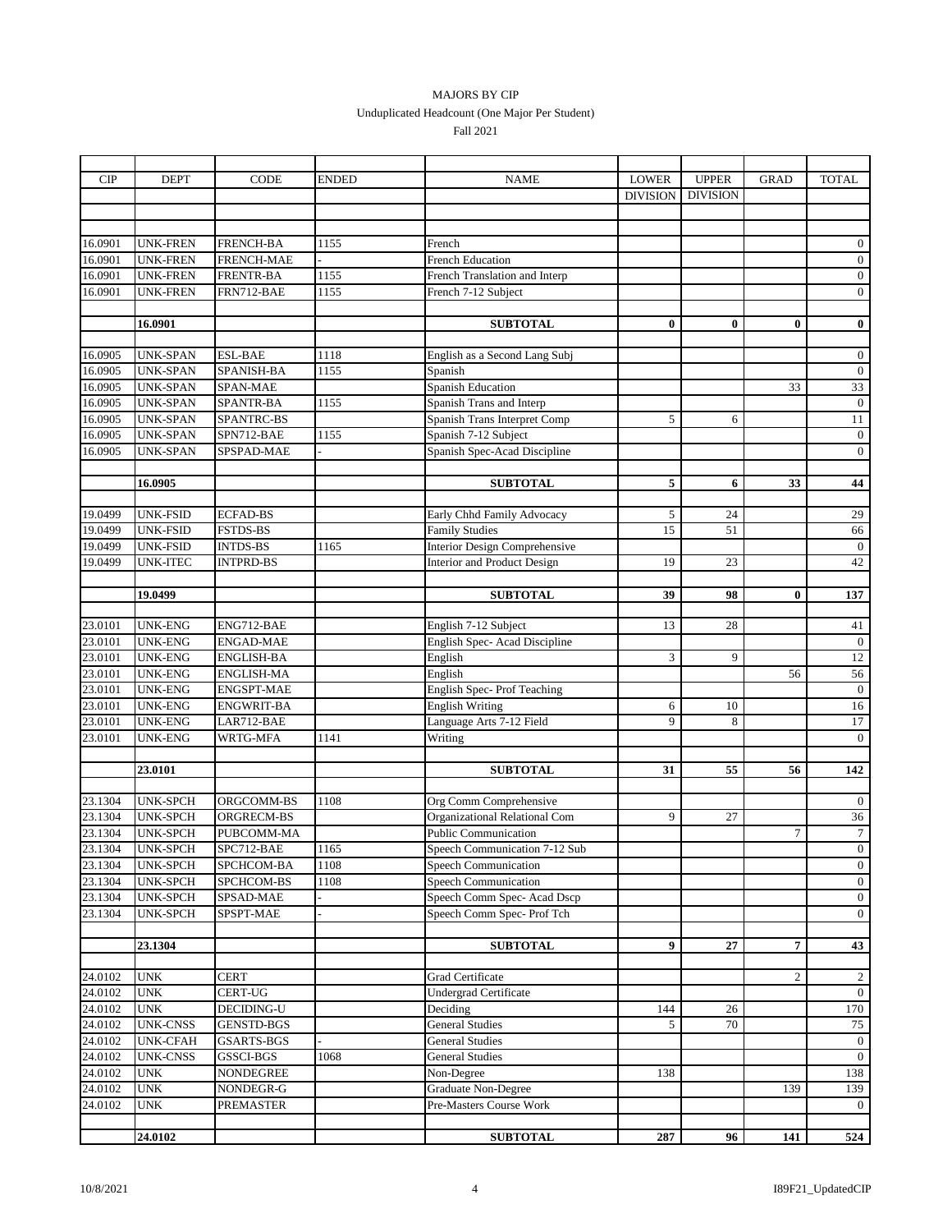| CIP     | <b>DEPT</b>     | CODE              | <b>ENDED</b> | <b>NAME</b>                          | <b>LOWER</b>    | <b>UPPER</b>    | <b>GRAD</b>  | <b>TOTAL</b>     |
|---------|-----------------|-------------------|--------------|--------------------------------------|-----------------|-----------------|--------------|------------------|
|         |                 |                   |              |                                      | <b>DIVISION</b> | <b>DIVISION</b> |              |                  |
|         |                 |                   |              |                                      |                 |                 |              |                  |
|         |                 |                   |              |                                      |                 |                 |              |                  |
| 16.0901 | <b>UNK-FREN</b> | <b>FRENCH-BA</b>  | 1155         | French                               |                 |                 |              | $\overline{0}$   |
| 16.0901 | <b>UNK-FREN</b> | <b>FRENCH-MAE</b> |              | <b>French Education</b>              |                 |                 |              | $\overline{0}$   |
| 16.0901 | <b>UNK-FREN</b> | FRENTR-BA         | 1155         | French Translation and Interp        |                 |                 |              | $\boldsymbol{0}$ |
| 16.0901 | <b>UNK-FREN</b> | FRN712-BAE        | 1155         | French 7-12 Subject                  |                 |                 |              | $\overline{0}$   |
|         |                 |                   |              |                                      |                 |                 |              |                  |
|         | 16.0901         |                   |              | <b>SUBTOTAL</b>                      | $\bf{0}$        | $\bf{0}$        | $\bf{0}$     | $\bf{0}$         |
|         |                 |                   |              |                                      |                 |                 |              |                  |
| 16.0905 | <b>UNK-SPAN</b> | <b>ESL-BAE</b>    | 1118         | English as a Second Lang Subj        |                 |                 |              | $\mathbf{0}$     |
| 16.0905 | <b>UNK-SPAN</b> | SPANISH-BA        | 1155         | Spanish                              |                 |                 |              | $\overline{0}$   |
| 16.0905 | <b>UNK-SPAN</b> | SPAN-MAE          |              | <b>Spanish Education</b>             |                 |                 | 33           | 33               |
| 16.0905 | <b>UNK-SPAN</b> | SPANTR-BA         | 1155         | Spanish Trans and Interp             |                 |                 |              | $\overline{0}$   |
| 16.0905 | <b>UNK-SPAN</b> | SPANTRC-BS        |              | Spanish Trans Interpret Comp         | 5               | 6               |              | 11               |
| 16.0905 | <b>UNK-SPAN</b> | SPN712-BAE        | 1155         | Spanish 7-12 Subject                 |                 |                 |              | $\overline{0}$   |
| 16.0905 | UNK-SPAN        | SPSPAD-MAE        |              | Spanish Spec-Acad Discipline         |                 |                 |              | $\overline{0}$   |
|         |                 |                   |              |                                      |                 |                 |              |                  |
|         | 16.0905         |                   |              | <b>SUBTOTAL</b>                      | 5               | 6               | 33           | 44               |
|         |                 |                   |              |                                      |                 |                 |              |                  |
| 19.0499 | <b>UNK-FSID</b> | <b>ECFAD-BS</b>   |              | Early Chhd Family Advocacy           | 5               | 24              |              | 29               |
| 19.0499 | <b>UNK-FSID</b> | <b>FSTDS-BS</b>   |              | <b>Family Studies</b>                | 15              | 51              |              | 66               |
| 19.0499 | <b>UNK-FSID</b> | <b>INTDS-BS</b>   | 1165         | <b>Interior Design Comprehensive</b> |                 |                 |              | $\mathbf{0}$     |
| 19.0499 | <b>UNK-ITEC</b> | <b>INTPRD-BS</b>  |              | Interior and Product Design          | 19              | 23              |              | 42               |
|         |                 |                   |              |                                      |                 |                 |              |                  |
|         | 19.0499         |                   |              | <b>SUBTOTAL</b>                      | 39              | 98              | $\bf{0}$     | 137              |
|         |                 |                   |              |                                      |                 |                 |              |                  |
| 23.0101 | <b>UNK-ENG</b>  | ENG712-BAE        |              | English 7-12 Subject                 | 13              | 28              |              | 41               |
| 23.0101 | <b>UNK-ENG</b>  | <b>ENGAD-MAE</b>  |              | English Spec-Acad Discipline         |                 |                 |              | $\overline{0}$   |
| 23.0101 | <b>UNK-ENG</b>  | ENGLISH-BA        |              | English                              | 3               | 9               |              | 12               |
| 23.0101 | <b>UNK-ENG</b>  | ENGLISH-MA        |              | English                              |                 |                 | 56           | 56               |
| 23.0101 | <b>UNK-ENG</b>  | <b>ENGSPT-MAE</b> |              | <b>English Spec-Prof Teaching</b>    |                 |                 |              | $\overline{0}$   |
| 23.0101 | <b>UNK-ENG</b>  | <b>ENGWRIT-BA</b> |              | <b>English Writing</b>               | 6               | 10              |              | 16               |
| 23.0101 | <b>UNK-ENG</b>  | LAR712-BAE        |              | Language Arts 7-12 Field             | 9               | 8               |              | 17               |
| 23.0101 | <b>UNK-ENG</b>  | WRTG-MFA          | 1141         | Writing                              |                 |                 |              | $\overline{0}$   |
|         |                 |                   |              |                                      |                 |                 |              |                  |
|         | 23.0101         |                   |              | <b>SUBTOTAL</b>                      | 31              | 55              | 56           | 142              |
|         |                 |                   |              |                                      |                 |                 |              |                  |
| 23.1304 | <b>UNK-SPCH</b> | ORGCOMM-BS        | 1108         | Org Comm Comprehensive               |                 |                 |              | $\overline{0}$   |
| 23.1304 | <b>UNK-SPCH</b> | ORGRECM-BS        |              | Organizational Relational Com        | 9               | 27              |              | 36               |
| 23.1304 | <b>UNK-SPCH</b> | PUBCOMM-MA        |              | <b>Public Communication</b>          |                 |                 | $\tau$       | $7\phantom{.0}$  |
| 23.1304 | <b>UNK-SPCH</b> | SPC712-BAE        | 1165         | Speech Communication 7-12 Sub        |                 |                 |              | $\overline{0}$   |
| 23.1304 | <b>UNK-SPCH</b> | SPCHCOM-BA        | 1108         | Speech Communication                 |                 |                 |              | $\overline{0}$   |
| 23.1304 | UNK-SPCH        | SPCHCOM-BS        | 1108         | <b>Speech Communication</b>          |                 |                 |              | $\overline{0}$   |
| 23.1304 | <b>UNK-SPCH</b> | SPSAD-MAE         |              | Speech Comm Spec-Acad Dscp           |                 |                 |              | $\overline{0}$   |
| 23.1304 | UNK-SPCH        | SPSPT-MAE         |              | Speech Comm Spec-Prof Tch            |                 |                 |              | $\overline{0}$   |
|         |                 |                   |              |                                      |                 |                 |              |                  |
|         | 23.1304         |                   |              | <b>SUBTOTAL</b>                      | 9               | 27              | 7            | 43               |
|         |                 |                   |              |                                      |                 |                 |              |                  |
| 24.0102 | <b>UNK</b>      | CERT              |              | Grad Certificate                     |                 |                 | $\mathbf{2}$ | $\overline{2}$   |
| 24.0102 | <b>UNK</b>      | CERT-UG           |              | <b>Undergrad Certificate</b>         |                 |                 |              | $\overline{0}$   |
| 24.0102 | <b>UNK</b>      | DECIDING-U        |              | Deciding                             | 144             | 26              |              | 170              |
| 24.0102 | <b>UNK-CNSS</b> | <b>GENSTD-BGS</b> |              | <b>General Studies</b>               | 5               | 70              |              | 75               |
| 24.0102 | <b>UNK-CFAH</b> | <b>GSARTS-BGS</b> |              | <b>General Studies</b>               |                 |                 |              | $\mathbf{0}$     |
| 24.0102 | <b>UNK-CNSS</b> | GSSCI-BGS         | 1068         | <b>General Studies</b>               |                 |                 |              | $\overline{0}$   |
| 24.0102 | <b>UNK</b>      | NONDEGREE         |              | Non-Degree                           | 138             |                 |              | 138              |
| 24.0102 | <b>UNK</b>      | NONDEGR-G         |              | <b>Graduate Non-Degree</b>           |                 |                 | 139          | 139              |
| 24.0102 | UNK             | PREMASTER         |              | Pre-Masters Course Work              |                 |                 |              | $\overline{0}$   |
|         |                 |                   |              |                                      |                 |                 |              |                  |
|         | 24.0102         |                   |              | <b>SUBTOTAL</b>                      | 287             | 96              | 141          | 524              |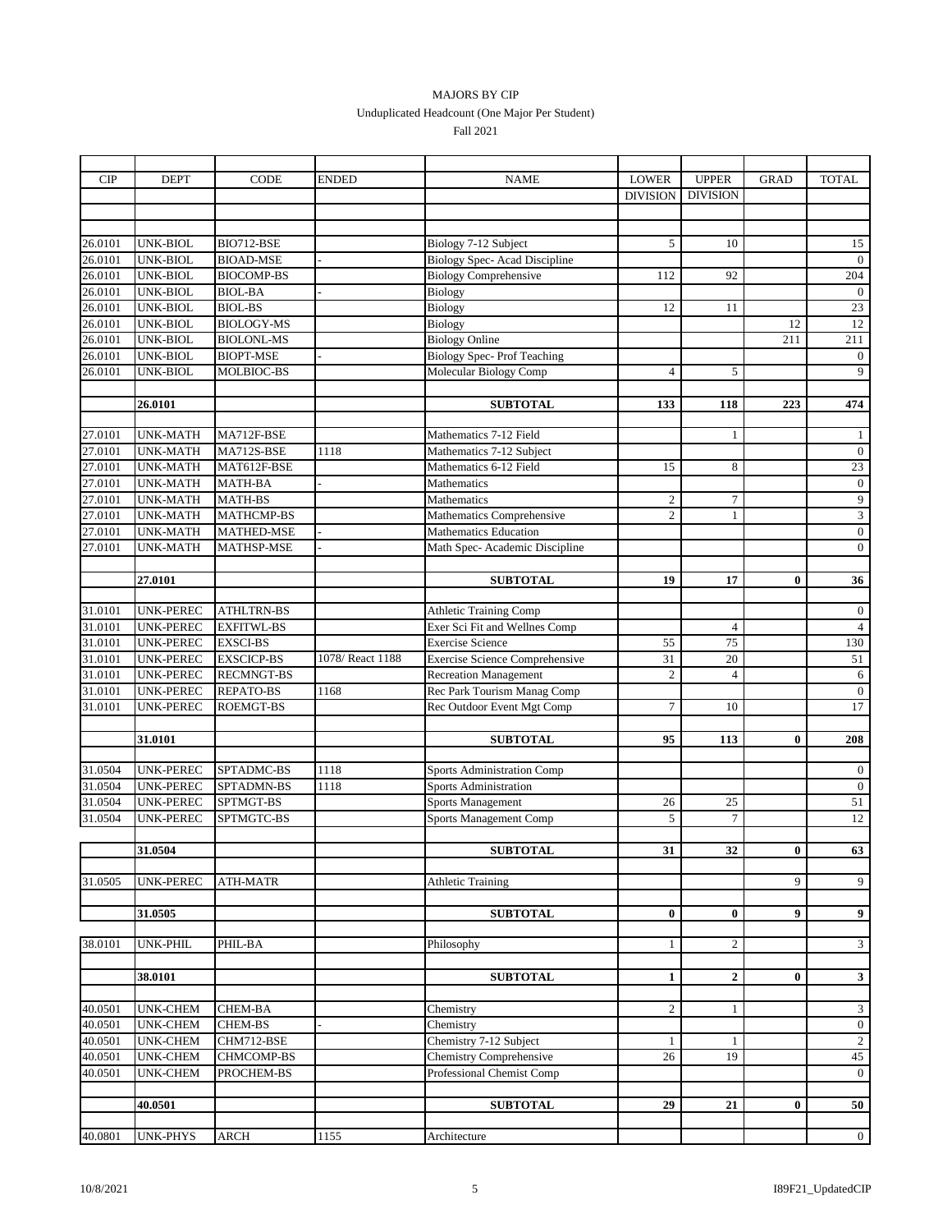| CIP     | <b>DEPT</b>      | <b>CODE</b>       | <b>ENDED</b>     | <b>NAME</b>                           | <b>LOWER</b>    | <b>UPPER</b>    | <b>GRAD</b>                                                                                                                                                               | <b>TOTAL</b>     |
|---------|------------------|-------------------|------------------|---------------------------------------|-----------------|-----------------|---------------------------------------------------------------------------------------------------------------------------------------------------------------------------|------------------|
|         |                  |                   |                  |                                       | <b>DIVISION</b> | <b>DIVISION</b> |                                                                                                                                                                           |                  |
|         |                  |                   |                  |                                       |                 |                 |                                                                                                                                                                           |                  |
|         |                  |                   |                  |                                       |                 |                 |                                                                                                                                                                           |                  |
| 26.0101 | <b>UNK-BIOL</b>  | BIO712-BSE        |                  | Biology 7-12 Subject                  | 5               | 10              |                                                                                                                                                                           | 15               |
| 26.0101 | <b>UNK-BIOL</b>  | <b>BIOAD-MSE</b>  |                  | <b>Biology Spec-Acad Discipline</b>   |                 |                 |                                                                                                                                                                           | $\overline{0}$   |
| 26.0101 | <b>UNK-BIOL</b>  | <b>BIOCOMP-BS</b> |                  | <b>Biology Comprehensive</b>          | 112             | 92              |                                                                                                                                                                           | 204              |
| 26.0101 | <b>UNK-BIOL</b>  | <b>BIOL-BA</b>    |                  | <b>Biology</b>                        |                 |                 |                                                                                                                                                                           | $\mathbf{0}$     |
| 26.0101 | <b>UNK-BIOL</b>  | <b>BIOL-BS</b>    |                  | <b>Biology</b>                        | 12              | 11              |                                                                                                                                                                           | $23\,$           |
| 26.0101 | <b>UNK-BIOL</b>  | <b>BIOLOGY-MS</b> |                  | Biology                               |                 |                 | 12                                                                                                                                                                        | 12               |
| 26.0101 | <b>UNK-BIOL</b>  | <b>BIOLONL-MS</b> |                  | <b>Biology Online</b>                 |                 |                 | 211                                                                                                                                                                       | 211              |
| 26.0101 | <b>UNK-BIOL</b>  | <b>BIOPT-MSE</b>  |                  | <b>Biology Spec-Prof Teaching</b>     |                 |                 |                                                                                                                                                                           | $\boldsymbol{0}$ |
| 26.0101 | UNK-BIOL         | MOLBIOC-BS        |                  | Molecular Biology Comp                | 4               | 5               |                                                                                                                                                                           | 9                |
|         |                  |                   |                  |                                       |                 |                 |                                                                                                                                                                           |                  |
|         | 26.0101          |                   |                  | <b>SUBTOTAL</b>                       | 133             | 118             | 223                                                                                                                                                                       | 474              |
|         |                  |                   |                  |                                       |                 |                 |                                                                                                                                                                           |                  |
| 27.0101 | <b>UNK-MATH</b>  | MA712F-BSE        |                  | Mathematics 7-12 Field                |                 | $\mathbf{1}$    |                                                                                                                                                                           | $\mathbf{1}$     |
| 27.0101 | <b>UNK-MATH</b>  | MA712S-BSE        | 1118             | Mathematics 7-12 Subject              |                 |                 |                                                                                                                                                                           | $\mathbf{0}$     |
| 27.0101 | <b>UNK-MATH</b>  | MAT612F-BSE       |                  | Mathematics 6-12 Field                | 15              | $\,8\,$         |                                                                                                                                                                           | 23               |
| 27.0101 | <b>UNK-MATH</b>  | <b>MATH-BA</b>    |                  | Mathematics                           |                 |                 |                                                                                                                                                                           | $\mathbf{0}$     |
| 27.0101 | <b>UNK-MATH</b>  | <b>MATH-BS</b>    |                  | Mathematics                           | $\overline{c}$  |                 |                                                                                                                                                                           | $\overline{9}$   |
| 27.0101 | <b>UNK-MATH</b>  | <b>MATHCMP-BS</b> |                  | Mathematics Comprehensive             | $\overline{2}$  |                 |                                                                                                                                                                           | $\overline{3}$   |
| 27.0101 | <b>UNK-MATH</b>  | <b>MATHED-MSE</b> |                  | <b>Mathematics Education</b>          |                 |                 |                                                                                                                                                                           | $\overline{0}$   |
| 27.0101 | UNK-MATH         | <b>MATHSP-MSE</b> |                  | Math Spec- Academic Discipline        |                 |                 |                                                                                                                                                                           | $\overline{0}$   |
|         |                  |                   |                  |                                       |                 |                 |                                                                                                                                                                           |                  |
|         | 27.0101          |                   |                  | <b>SUBTOTAL</b>                       | 19              | 17              |                                                                                                                                                                           | 36               |
|         |                  |                   |                  |                                       |                 |                 |                                                                                                                                                                           |                  |
| 31.0101 | UNK-PEREC        | <b>ATHLTRN-BS</b> |                  | <b>Athletic Training Comp</b>         |                 |                 |                                                                                                                                                                           | $\boldsymbol{0}$ |
| 31.0101 | <b>UNK-PEREC</b> | <b>EXFITWL-BS</b> |                  | Exer Sci Fit and Wellnes Comp         |                 |                 |                                                                                                                                                                           | $\overline{4}$   |
| 31.0101 | <b>UNK-PEREC</b> | <b>EXSCI-BS</b>   |                  | <b>Exercise Science</b>               | 55              | 75              |                                                                                                                                                                           | 130              |
| 31.0101 | <b>UNK-PEREC</b> | <b>EXSCICP-BS</b> | 1078/ React 1188 | <b>Exercise Science Comprehensive</b> | 31              | $20\,$          |                                                                                                                                                                           | 51               |
| 31.0101 | <b>UNK-PEREC</b> | <b>RECMNGT-BS</b> |                  | <b>Recreation Management</b>          | $\overline{2}$  | $\overline{4}$  |                                                                                                                                                                           | 6                |
| 31.0101 | <b>UNK-PEREC</b> | REPATO-BS         | 1168             | Rec Park Tourism Manag Comp           |                 |                 |                                                                                                                                                                           | $\mathbf{0}$     |
| 31.0101 | UNK-PEREC        | ROEMGT-BS         |                  | Rec Outdoor Event Mgt Comp            | 7               | 10              |                                                                                                                                                                           | 17               |
|         |                  |                   |                  |                                       |                 |                 |                                                                                                                                                                           |                  |
|         | 31.0101          |                   |                  | <b>SUBTOTAL</b>                       | 95              | 113             | $\bf{0}$                                                                                                                                                                  | 208              |
|         |                  |                   |                  |                                       |                 |                 |                                                                                                                                                                           |                  |
| 31.0504 | <b>UNK-PEREC</b> | SPTADMC-BS        | 1118             | Sports Administration Comp            |                 |                 |                                                                                                                                                                           | $\mathbf{0}$     |
| 31.0504 | <b>UNK-PEREC</b> | SPTADMN-BS        | 1118             | <b>Sports Administration</b>          |                 |                 |                                                                                                                                                                           | $\overline{0}$   |
| 31.0504 | <b>UNK-PEREC</b> | SPTMGT-BS         |                  | Sports Management                     | 26              | 25              |                                                                                                                                                                           | 51               |
| 31.0504 | UNK-PEREC        | SPTMGTC-BS        |                  | Sports Management Comp                | 5               | $\tau$          |                                                                                                                                                                           | 12               |
|         |                  |                   |                  |                                       |                 |                 |                                                                                                                                                                           |                  |
|         | 31.0504          |                   |                  | <b>SUBTOTAL</b>                       | 31              | 32              | $\tau$<br>$\mathbf{1}$<br>$\bf{0}$<br>$\overline{4}$<br>$\bf{0}$<br>9<br>9<br>$\bf{0}$<br>$\overline{c}$<br>$\boldsymbol{2}$<br>$\bf{0}$<br>$\mathbf{1}$<br>1<br>$\bf{0}$ | 63               |
|         |                  |                   |                  |                                       |                 |                 |                                                                                                                                                                           |                  |
| 31.0505 | <b>UNK-PEREC</b> | <b>ATH-MATR</b>   |                  | <b>Athletic Training</b>              |                 |                 |                                                                                                                                                                           | 9                |
|         |                  |                   |                  |                                       |                 |                 |                                                                                                                                                                           |                  |
|         | 31.0505          |                   |                  | <b>SUBTOTAL</b>                       | $\bf{0}$        |                 |                                                                                                                                                                           | 9                |
|         |                  |                   |                  |                                       |                 |                 |                                                                                                                                                                           |                  |
| 38.0101 | UNK-PHIL         | PHIL-BA           |                  | Philosophy                            | $\mathbf{1}$    |                 |                                                                                                                                                                           | $\overline{3}$   |
|         |                  |                   |                  |                                       |                 |                 |                                                                                                                                                                           |                  |
|         | 38.0101          |                   |                  | <b>SUBTOTAL</b>                       | 1               |                 |                                                                                                                                                                           | $\mathbf{3}$     |
|         |                  |                   |                  |                                       |                 |                 |                                                                                                                                                                           |                  |
| 40.0501 | <b>UNK-CHEM</b>  | CHEM-BA           |                  | Chemistry                             | $\overline{c}$  |                 |                                                                                                                                                                           | $\mathfrak{Z}$   |
| 40.0501 | <b>UNK-CHEM</b>  | <b>CHEM-BS</b>    |                  | Chemistry                             |                 |                 |                                                                                                                                                                           | $\overline{0}$   |
| 40.0501 | <b>UNK-CHEM</b>  | CHM712-BSE        |                  | Chemistry 7-12 Subject                | 1               |                 |                                                                                                                                                                           | $\overline{2}$   |
| 40.0501 | <b>UNK-CHEM</b>  | CHMCOMP-BS        |                  | <b>Chemistry Comprehensive</b>        | 26              | 19              |                                                                                                                                                                           | 45               |
| 40.0501 | <b>UNK-CHEM</b>  | PROCHEM-BS        |                  | Professional Chemist Comp             |                 |                 |                                                                                                                                                                           | $\overline{0}$   |
|         |                  |                   |                  |                                       |                 |                 |                                                                                                                                                                           |                  |
|         | 40.0501          |                   |                  | <b>SUBTOTAL</b>                       | 29              | 21              |                                                                                                                                                                           | 50               |
|         |                  |                   |                  |                                       |                 |                 |                                                                                                                                                                           |                  |
| 40.0801 | <b>UNK-PHYS</b>  | ARCH              | 1155             | Architecture                          |                 |                 |                                                                                                                                                                           | $\overline{0}$   |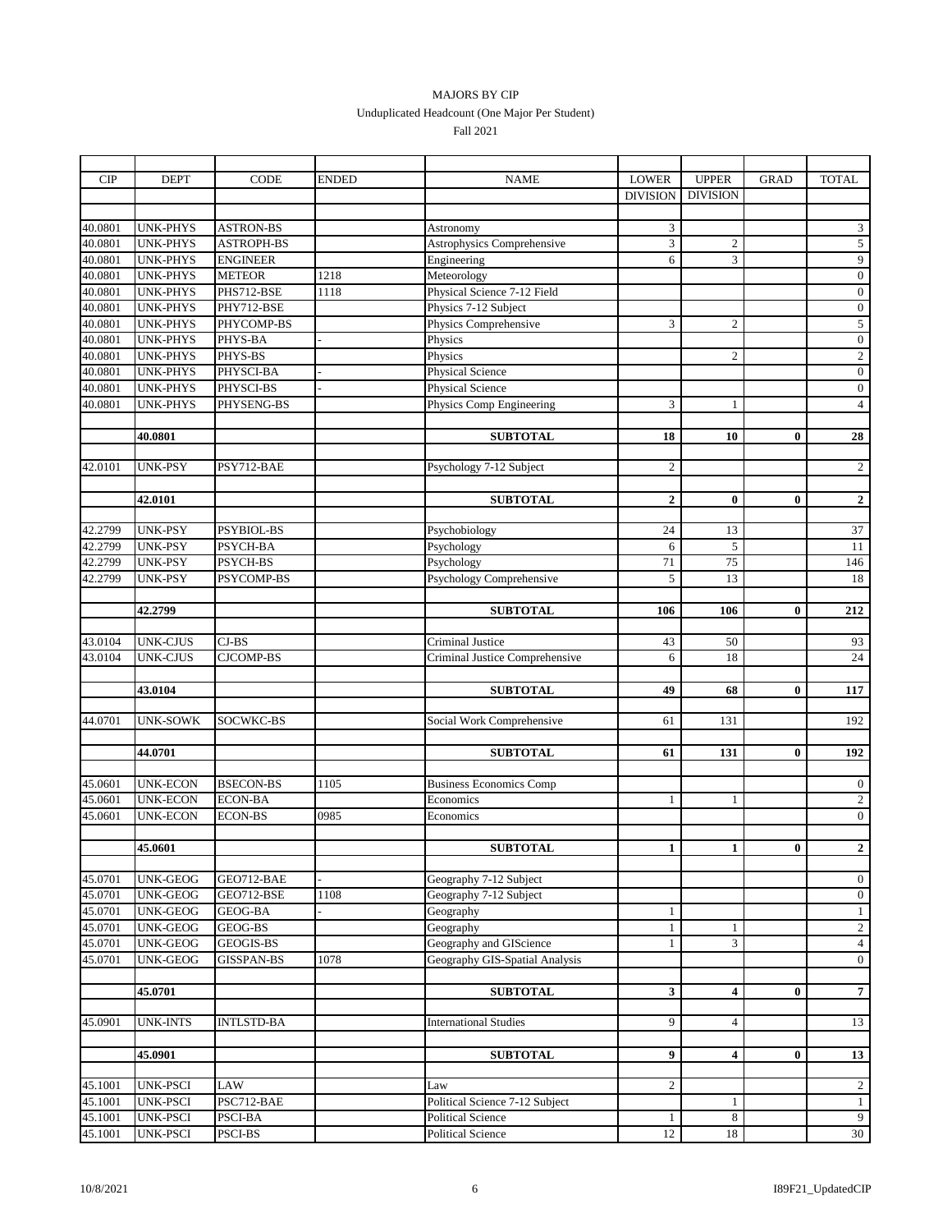| CIP                | <b>DEPT</b>                        | CODE                     | <b>ENDED</b> | <b>NAME</b>                    | <b>LOWER</b>    | <b>UPPER</b>                                                                                                                                                                                                                                                                                                                                                                                                                              | <b>GRAD</b>                                                                                      | <b>TOTAL</b>     |
|--------------------|------------------------------------|--------------------------|--------------|--------------------------------|-----------------|-------------------------------------------------------------------------------------------------------------------------------------------------------------------------------------------------------------------------------------------------------------------------------------------------------------------------------------------------------------------------------------------------------------------------------------------|--------------------------------------------------------------------------------------------------|------------------|
|                    |                                    |                          |              |                                | <b>DIVISION</b> | <b>DIVISION</b>                                                                                                                                                                                                                                                                                                                                                                                                                           |                                                                                                  |                  |
|                    |                                    |                          |              |                                |                 |                                                                                                                                                                                                                                                                                                                                                                                                                                           |                                                                                                  |                  |
| 40.0801            | <b>UNK-PHYS</b>                    | <b>ASTRON-BS</b>         |              | Astronomy                      | 3               |                                                                                                                                                                                                                                                                                                                                                                                                                                           |                                                                                                  | 3                |
| 40.0801            | <b>UNK-PHYS</b>                    | <b>ASTROPH-BS</b>        |              | Astrophysics Comprehensive     | 3               |                                                                                                                                                                                                                                                                                                                                                                                                                                           |                                                                                                  | $\overline{5}$   |
| 40.0801            | <b>UNK-PHYS</b>                    | <b>ENGINEER</b>          |              | Engineering                    | 6               |                                                                                                                                                                                                                                                                                                                                                                                                                                           |                                                                                                  | $\overline{9}$   |
| 40.0801            | <b>UNK-PHYS</b>                    | <b>METEOR</b>            | 1218         | Meteorology                    |                 |                                                                                                                                                                                                                                                                                                                                                                                                                                           |                                                                                                  | $\boldsymbol{0}$ |
| 40.0801            | <b>UNK-PHYS</b>                    | PHS712-BSE               | 1118         | Physical Science 7-12 Field    |                 |                                                                                                                                                                                                                                                                                                                                                                                                                                           |                                                                                                  | $\boldsymbol{0}$ |
| 40.0801            | <b>UNK-PHYS</b>                    | PHY712-BSE               |              | Physics 7-12 Subject           |                 |                                                                                                                                                                                                                                                                                                                                                                                                                                           |                                                                                                  | $\boldsymbol{0}$ |
| 40.0801            | <b>UNK-PHYS</b>                    | PHYCOMP-BS               |              | Physics Comprehensive          | 3               |                                                                                                                                                                                                                                                                                                                                                                                                                                           |                                                                                                  | $\overline{5}$   |
| 40.0801            | <b>UNK-PHYS</b>                    | PHYS-BA                  |              | Physics                        |                 |                                                                                                                                                                                                                                                                                                                                                                                                                                           |                                                                                                  | $\boldsymbol{0}$ |
| 40.0801            | <b>UNK-PHYS</b>                    | PHYS-BS                  |              | Physics                        |                 |                                                                                                                                                                                                                                                                                                                                                                                                                                           |                                                                                                  | $\overline{2}$   |
| 40.0801            | <b>UNK-PHYS</b>                    | PHYSCI-BA                |              | Physical Science               |                 |                                                                                                                                                                                                                                                                                                                                                                                                                                           |                                                                                                  | $\boldsymbol{0}$ |
| 40.0801            | <b>UNK-PHYS</b>                    | PHYSCI-BS                |              | Physical Science               |                 |                                                                                                                                                                                                                                                                                                                                                                                                                                           |                                                                                                  | $\boldsymbol{0}$ |
| 40.0801            | <b>UNK-PHYS</b>                    | PHYSENG-BS               |              | Physics Comp Engineering       |                 |                                                                                                                                                                                                                                                                                                                                                                                                                                           |                                                                                                  | $\overline{4}$   |
|                    |                                    |                          |              |                                |                 |                                                                                                                                                                                                                                                                                                                                                                                                                                           |                                                                                                  |                  |
|                    | 40.0801                            |                          |              | <b>SUBTOTAL</b>                |                 |                                                                                                                                                                                                                                                                                                                                                                                                                                           |                                                                                                  | 28               |
|                    |                                    |                          |              |                                |                 |                                                                                                                                                                                                                                                                                                                                                                                                                                           |                                                                                                  |                  |
| 42.0101            | <b>UNK-PSY</b>                     | PSY712-BAE               |              | Psychology 7-12 Subject        |                 |                                                                                                                                                                                                                                                                                                                                                                                                                                           |                                                                                                  | $\overline{2}$   |
|                    |                                    |                          |              |                                |                 |                                                                                                                                                                                                                                                                                                                                                                                                                                           |                                                                                                  |                  |
|                    | 42.0101                            |                          |              | <b>SUBTOTAL</b>                |                 |                                                                                                                                                                                                                                                                                                                                                                                                                                           |                                                                                                  | $\mathbf{2}$     |
|                    |                                    |                          |              |                                |                 |                                                                                                                                                                                                                                                                                                                                                                                                                                           |                                                                                                  |                  |
| 42.2799            | <b>UNK-PSY</b>                     | PSYBIOL-BS               |              | Psychobiology                  |                 |                                                                                                                                                                                                                                                                                                                                                                                                                                           |                                                                                                  | 37               |
| 42.2799            | <b>UNK-PSY</b>                     | PSYCH-BA                 |              |                                |                 |                                                                                                                                                                                                                                                                                                                                                                                                                                           |                                                                                                  | 11               |
| 42.2799            | <b>UNK-PSY</b>                     | PSYCH-BS                 |              | Psychology<br>Psychology       |                 |                                                                                                                                                                                                                                                                                                                                                                                                                                           |                                                                                                  | 146              |
| 42.2799            |                                    |                          |              |                                |                 |                                                                                                                                                                                                                                                                                                                                                                                                                                           |                                                                                                  |                  |
|                    | <b>UNK-PSY</b>                     | PSYCOMP-BS               |              | Psychology Comprehensive       |                 |                                                                                                                                                                                                                                                                                                                                                                                                                                           |                                                                                                  | 18               |
|                    |                                    |                          |              |                                |                 |                                                                                                                                                                                                                                                                                                                                                                                                                                           |                                                                                                  |                  |
|                    | 42.2799                            |                          |              | <b>SUBTOTAL</b>                |                 |                                                                                                                                                                                                                                                                                                                                                                                                                                           |                                                                                                  | 212              |
| 43.0104            | <b>UNK-CJUS</b>                    | $CJ-BS$                  |              | <b>Criminal Justice</b>        |                 |                                                                                                                                                                                                                                                                                                                                                                                                                                           |                                                                                                  |                  |
|                    |                                    |                          |              |                                |                 |                                                                                                                                                                                                                                                                                                                                                                                                                                           |                                                                                                  | 93               |
| 43.0104            | <b>UNK-CJUS</b>                    | CJCOMP-BS                |              | Criminal Justice Comprehensive |                 |                                                                                                                                                                                                                                                                                                                                                                                                                                           |                                                                                                  | $24\,$           |
|                    |                                    |                          |              |                                |                 |                                                                                                                                                                                                                                                                                                                                                                                                                                           |                                                                                                  |                  |
|                    | 43.0104                            |                          |              | <b>SUBTOTAL</b>                |                 |                                                                                                                                                                                                                                                                                                                                                                                                                                           |                                                                                                  | 117              |
| 44.0701            | <b>UNK-SOWK</b>                    | SOCWKC-BS                |              | Social Work Comprehensive      |                 |                                                                                                                                                                                                                                                                                                                                                                                                                                           |                                                                                                  | 192              |
|                    |                                    |                          |              |                                |                 |                                                                                                                                                                                                                                                                                                                                                                                                                                           |                                                                                                  |                  |
|                    |                                    |                          |              |                                |                 |                                                                                                                                                                                                                                                                                                                                                                                                                                           |                                                                                                  |                  |
|                    | 44.0701                            |                          |              | <b>SUBTOTAL</b>                |                 |                                                                                                                                                                                                                                                                                                                                                                                                                                           |                                                                                                  | 192              |
| 45.0601            | <b>UNK-ECON</b>                    | <b>BSECON-BS</b>         | 1105         |                                |                 |                                                                                                                                                                                                                                                                                                                                                                                                                                           |                                                                                                  |                  |
| 45.0601            | <b>UNK-ECON</b>                    | <b>ECON-BA</b>           |              | <b>Business Economics Comp</b> |                 |                                                                                                                                                                                                                                                                                                                                                                                                                                           |                                                                                                  | $\overline{0}$   |
|                    |                                    |                          |              | Economics                      |                 |                                                                                                                                                                                                                                                                                                                                                                                                                                           |                                                                                                  | $\overline{2}$   |
| 45.0601            | <b>UNK-ECON</b>                    | <b>ECON-BS</b>           | 0985         | Economics                      |                 | $\overline{2}$<br>3<br>1<br>18<br>$\bf{0}$<br>10<br>$\overline{c}$<br>$\boldsymbol{2}$<br>$\bf{0}$<br>$\bf{0}$<br>24<br>13<br>6<br>5<br>75<br>71<br>5<br>13<br>106<br>106<br>$\bf{0}$<br>43<br>50<br>6<br>18<br>49<br>$\bf{0}$<br>68<br>61<br>131<br>$\bf{0}$<br>61<br>131<br>$\mathbf{1}$<br>$\mathbf{1}$<br>$\bf{0}$<br>1<br>1<br>$\mathbf{1}$<br>$\mathbf{1}$<br>1<br>$\mathfrak{Z}$<br>1<br>3<br>4<br>$\bf{0}$<br>9<br>$\overline{4}$ | $\boldsymbol{0}$                                                                                 |                  |
|                    |                                    |                          |              |                                |                 |                                                                                                                                                                                                                                                                                                                                                                                                                                           | $\boldsymbol{2}$<br>3<br>$\mathfrak{2}$<br>$\overline{4}$<br>$\bf{0}$<br>$\mathbf{1}$<br>8<br>18 |                  |
|                    | 45.0601                            |                          |              | <b>SUBTOTAL</b>                |                 |                                                                                                                                                                                                                                                                                                                                                                                                                                           |                                                                                                  | $\mathbf{2}$     |
| 45.0701            |                                    |                          |              |                                |                 |                                                                                                                                                                                                                                                                                                                                                                                                                                           |                                                                                                  |                  |
| 45.0701            | <b>UNK-GEOG</b><br><b>UNK-GEOG</b> | GEO712-BAE<br>GEO712-BSE |              | Geography 7-12 Subject         |                 |                                                                                                                                                                                                                                                                                                                                                                                                                                           |                                                                                                  | $\overline{0}$   |
|                    |                                    |                          | 1108         | Geography 7-12 Subject         |                 |                                                                                                                                                                                                                                                                                                                                                                                                                                           |                                                                                                  | $\overline{0}$   |
| 45.0701<br>45.0701 | <b>UNK-GEOG</b>                    | GEOG-BA                  |              | Geography                      |                 |                                                                                                                                                                                                                                                                                                                                                                                                                                           |                                                                                                  | $\mathbf{1}$     |
| 45.0701            | <b>UNK-GEOG</b>                    | GEOG-BS                  |              | Geography                      |                 |                                                                                                                                                                                                                                                                                                                                                                                                                                           |                                                                                                  | $\overline{c}$   |
|                    | <b>UNK-GEOG</b>                    | <b>GEOGIS-BS</b>         |              | Geography and GIScience        |                 |                                                                                                                                                                                                                                                                                                                                                                                                                                           |                                                                                                  | $\overline{4}$   |
| 45.0701            | <b>UNK-GEOG</b>                    | <b>GISSPAN-BS</b>        | 1078         | Geography GIS-Spatial Analysis |                 |                                                                                                                                                                                                                                                                                                                                                                                                                                           |                                                                                                  | $\overline{0}$   |
|                    |                                    |                          |              |                                |                 |                                                                                                                                                                                                                                                                                                                                                                                                                                           |                                                                                                  |                  |
|                    | 45.0701                            |                          |              | <b>SUBTOTAL</b>                |                 |                                                                                                                                                                                                                                                                                                                                                                                                                                           |                                                                                                  | $\overline{7}$   |
|                    |                                    |                          |              |                                |                 |                                                                                                                                                                                                                                                                                                                                                                                                                                           |                                                                                                  |                  |
| 45.0901            | <b>UNK-INTS</b>                    | <b>INTLSTD-BA</b>        |              | <b>International Studies</b>   |                 |                                                                                                                                                                                                                                                                                                                                                                                                                                           |                                                                                                  | 13               |
|                    |                                    |                          |              |                                |                 |                                                                                                                                                                                                                                                                                                                                                                                                                                           |                                                                                                  |                  |
|                    | 45.0901                            |                          |              | <b>SUBTOTAL</b>                | 9               |                                                                                                                                                                                                                                                                                                                                                                                                                                           |                                                                                                  | 13               |
|                    |                                    |                          |              |                                |                 |                                                                                                                                                                                                                                                                                                                                                                                                                                           |                                                                                                  |                  |
| 45.1001            | <b>UNK-PSCI</b>                    | LAW                      |              | Law                            | $\mathbf{2}$    |                                                                                                                                                                                                                                                                                                                                                                                                                                           |                                                                                                  | $\overline{2}$   |
| 45.1001            | <b>UNK-PSCI</b>                    | PSC712-BAE               |              | Political Science 7-12 Subject |                 |                                                                                                                                                                                                                                                                                                                                                                                                                                           |                                                                                                  | $\mathbf{1}$     |
| 45.1001            | <b>UNK-PSCI</b>                    | PSCI-BA                  |              | <b>Political Science</b>       | $\mathbf{1}$    |                                                                                                                                                                                                                                                                                                                                                                                                                                           |                                                                                                  | 9                |
| 45.1001            | UNK-PSCI                           | PSCI-BS                  |              | <b>Political Science</b>       | $12\,$          |                                                                                                                                                                                                                                                                                                                                                                                                                                           |                                                                                                  | 30               |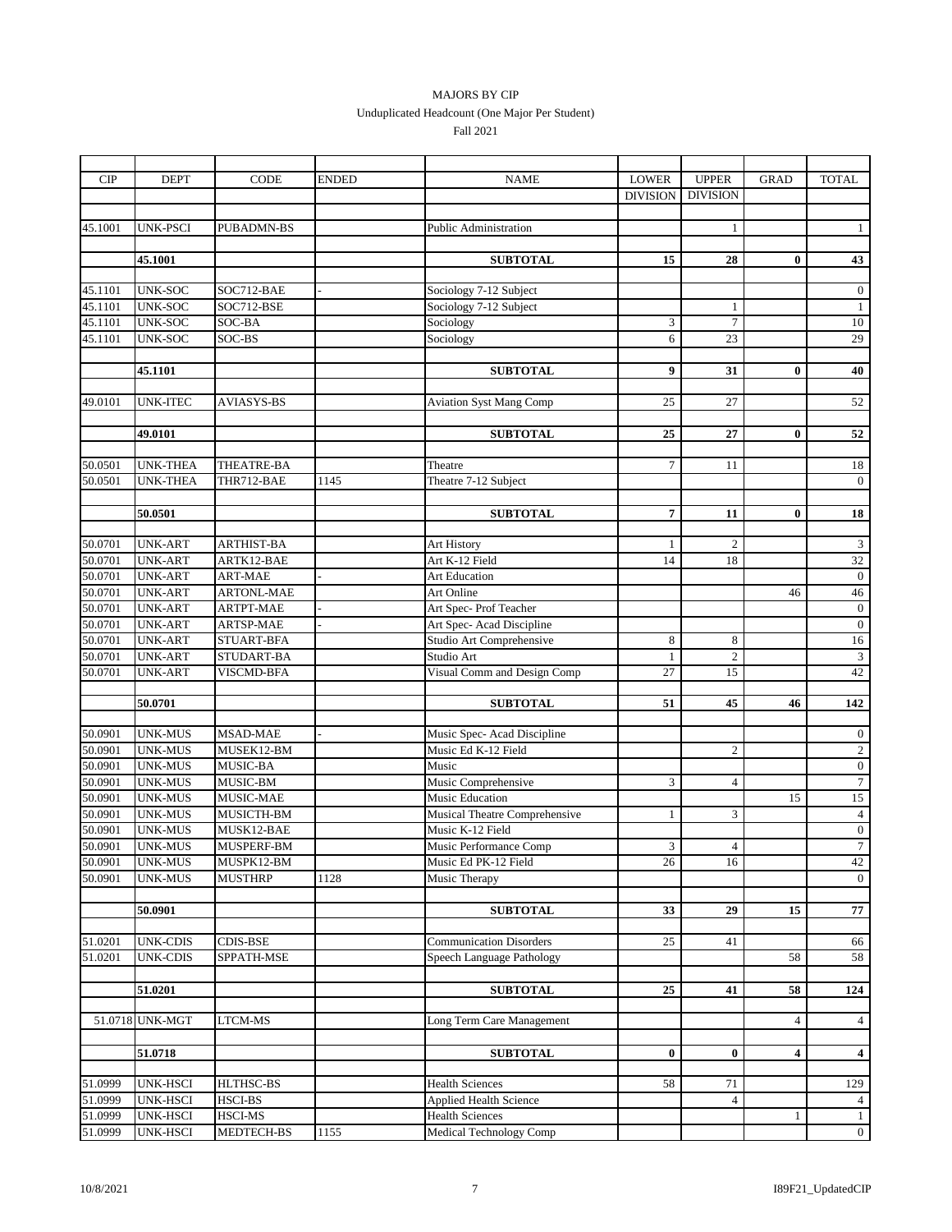| CIP                | <b>DEPT</b>                      | <b>CODE</b>              | <b>ENDED</b> | <b>NAME</b>                                        | <b>LOWER</b>    | <b>UPPER</b>                                                                                                                                                                                                                            | <b>GRAD</b>    | <b>TOTAL</b>                     |
|--------------------|----------------------------------|--------------------------|--------------|----------------------------------------------------|-----------------|-----------------------------------------------------------------------------------------------------------------------------------------------------------------------------------------------------------------------------------------|----------------|----------------------------------|
|                    |                                  |                          |              |                                                    | <b>DIVISION</b> | <b>DIVISION</b>                                                                                                                                                                                                                         |                |                                  |
|                    |                                  |                          |              |                                                    |                 |                                                                                                                                                                                                                                         |                |                                  |
| 45.1001            | <b>UNK-PSCI</b>                  | PUBADMN-BS               |              | Public Administration                              |                 | 1                                                                                                                                                                                                                                       |                | $\mathbf{1}$                     |
|                    |                                  |                          |              |                                                    |                 |                                                                                                                                                                                                                                         |                |                                  |
|                    | 45.1001                          |                          |              | <b>SUBTOTAL</b>                                    | 15              | 28                                                                                                                                                                                                                                      | $\bf{0}$       | 43                               |
|                    |                                  |                          |              |                                                    |                 |                                                                                                                                                                                                                                         |                |                                  |
| 45.1101<br>45.1101 | <b>UNK-SOC</b><br><b>UNK-SOC</b> | SOC712-BAE<br>SOC712-BSE |              | Sociology 7-12 Subject                             |                 | $\mathbf{1}$                                                                                                                                                                                                                            |                | $\boldsymbol{0}$<br>$\mathbf{1}$ |
| 45.1101            | UNK-SOC                          | SOC-BA                   |              | Sociology 7-12 Subject<br>Sociology                | 3               | $\tau$                                                                                                                                                                                                                                  |                | 10                               |
| 45.1101            | UNK-SOC                          | SOC-BS                   |              | Sociology                                          | 6               | 23                                                                                                                                                                                                                                      |                | 29                               |
|                    |                                  |                          |              |                                                    |                 |                                                                                                                                                                                                                                         |                |                                  |
|                    | 45.1101                          |                          |              | <b>SUBTOTAL</b>                                    | 9               | 31                                                                                                                                                                                                                                      | $\bf{0}$       | 40                               |
|                    |                                  |                          |              |                                                    |                 |                                                                                                                                                                                                                                         |                |                                  |
| 49.0101            | <b>UNK-ITEC</b>                  | <b>AVIASYS-BS</b>        |              | <b>Aviation Syst Mang Comp</b>                     | 25              | 27                                                                                                                                                                                                                                      |                | 52                               |
|                    |                                  |                          |              |                                                    |                 |                                                                                                                                                                                                                                         |                |                                  |
|                    | 49.0101                          |                          |              | <b>SUBTOTAL</b>                                    | 25              | 27                                                                                                                                                                                                                                      | $\bf{0}$       | 52                               |
|                    |                                  |                          |              |                                                    |                 |                                                                                                                                                                                                                                         |                |                                  |
| 50.0501            | <b>UNK-THEA</b>                  | THEATRE-BA               |              | Theatre                                            |                 |                                                                                                                                                                                                                                         |                | 18                               |
| 50.0501            | <b>UNK-THEA</b>                  | THR712-BAE               | 1145         | Theatre 7-12 Subject                               |                 | 7<br>11<br>$\overline{7}$<br>11<br>$\bf{0}$<br>$\overline{2}$<br>$\mathbf{1}$<br>14<br>18<br>46<br>8<br>8<br>$\overline{c}$<br>$\mathbf{1}$<br>15<br>45<br>51<br>46<br>$\mathfrak{2}$<br>3<br>$\overline{4}$<br>15<br>3<br>$\mathbf{1}$ | $\mathbf{0}$   |                                  |
|                    |                                  |                          |              |                                                    |                 |                                                                                                                                                                                                                                         |                |                                  |
|                    | 50.0501                          |                          |              | <b>SUBTOTAL</b>                                    |                 |                                                                                                                                                                                                                                         |                | 18                               |
| 50.0701            | <b>UNK-ART</b>                   | <b>ARTHIST-BA</b>        |              | Art History                                        |                 |                                                                                                                                                                                                                                         |                | 3                                |
| 50.0701            | <b>UNK-ART</b>                   | ARTK12-BAE               |              | Art K-12 Field                                     |                 |                                                                                                                                                                                                                                         |                | 32                               |
| 50.0701            | <b>UNK-ART</b>                   | <b>ART-MAE</b>           |              | <b>Art Education</b>                               |                 |                                                                                                                                                                                                                                         |                | $\overline{0}$                   |
| 50.0701            | <b>UNK-ART</b>                   | <b>ARTONL-MAE</b>        |              | Art Online                                         |                 |                                                                                                                                                                                                                                         |                | 46                               |
| 50.0701            | <b>UNK-ART</b>                   | <b>ARTPT-MAE</b>         |              | Art Spec-Prof Teacher                              |                 |                                                                                                                                                                                                                                         |                | $\mathbf{0}$                     |
| 50.0701            | <b>UNK-ART</b>                   | ARTSP-MAE                |              | Art Spec-Acad Discipline                           |                 |                                                                                                                                                                                                                                         |                | $\mathbf{0}$                     |
| 50.0701            | <b>UNK-ART</b>                   | STUART-BFA               |              | Studio Art Comprehensive                           |                 |                                                                                                                                                                                                                                         |                | 16                               |
| 50.0701            | <b>UNK-ART</b>                   | STUDART-BA               |              | Studio Art                                         |                 |                                                                                                                                                                                                                                         |                | $\mathbf{3}$                     |
| 50.0701            | <b>UNK-ART</b>                   | VISCMD-BFA               |              | Visual Comm and Design Comp                        | $\overline{27}$ |                                                                                                                                                                                                                                         |                | 42                               |
|                    |                                  |                          |              |                                                    |                 |                                                                                                                                                                                                                                         |                |                                  |
|                    | 50.0701                          |                          |              | <b>SUBTOTAL</b>                                    |                 |                                                                                                                                                                                                                                         |                | 142                              |
|                    |                                  |                          |              |                                                    |                 |                                                                                                                                                                                                                                         |                |                                  |
| 50.0901<br>50.0901 | <b>UNK-MUS</b><br><b>UNK-MUS</b> | <b>MSAD-MAE</b>          |              | Music Spec- Acad Discipline<br>Music Ed K-12 Field |                 |                                                                                                                                                                                                                                         |                | $\boldsymbol{0}$                 |
| 50.0901            | <b>UNK-MUS</b>                   | MUSEK12-BM<br>MUSIC-BA   |              | Music                                              |                 |                                                                                                                                                                                                                                         |                | $\overline{c}$<br>$\mathbf{0}$   |
| 50.0901            | <b>UNK-MUS</b>                   | MUSIC-BM                 |              | Music Comprehensive                                |                 |                                                                                                                                                                                                                                         |                | $7\phantom{.0}$                  |
| 50.0901            | <b>UNK-MUS</b>                   | MUSIC-MAE                |              | <b>Music Education</b>                             |                 |                                                                                                                                                                                                                                         |                | 15                               |
| 50.0901            | <b>UNK-MUS</b>                   | MUSICTH-BM               |              | Musical Theatre Comprehensive                      |                 |                                                                                                                                                                                                                                         |                | $\overline{4}$                   |
| 50.0901            | <b>UNK-MUS</b>                   | MUSK12-BAE               |              | Music K-12 Field                                   |                 |                                                                                                                                                                                                                                         |                | $\boldsymbol{0}$                 |
| 50.0901            | <b>UNK-MUS</b>                   | MUSPERF-BM               |              | Music Performance Comp                             | 3               | $\overline{4}$                                                                                                                                                                                                                          |                | $7\overline{ }$                  |
| 50.0901            | <b>UNK-MUS</b>                   | MUSPK12-BM               |              | Music Ed PK-12 Field                               | 26              | 16                                                                                                                                                                                                                                      |                | 42                               |
| 50.0901            | <b>UNK-MUS</b>                   | <b>MUSTHRP</b>           | 1128         | Music Therapy                                      |                 |                                                                                                                                                                                                                                         |                | $\overline{0}$                   |
|                    |                                  |                          |              |                                                    |                 |                                                                                                                                                                                                                                         |                |                                  |
|                    | 50.0901                          |                          |              | <b>SUBTOTAL</b>                                    | 33              | 29                                                                                                                                                                                                                                      | 15             | 77                               |
|                    |                                  |                          |              |                                                    |                 |                                                                                                                                                                                                                                         |                |                                  |
| 51.0201            | <b>UNK-CDIS</b>                  | CDIS-BSE                 |              | <b>Communication Disorders</b>                     | 25              | 41                                                                                                                                                                                                                                      |                | 66                               |
| 51.0201            | <b>UNK-CDIS</b>                  | SPPATH-MSE               |              | Speech Language Pathology                          |                 |                                                                                                                                                                                                                                         | 58             | 58                               |
|                    |                                  |                          |              |                                                    |                 |                                                                                                                                                                                                                                         |                |                                  |
|                    | 51.0201                          |                          |              | <b>SUBTOTAL</b>                                    | 25              | 41                                                                                                                                                                                                                                      | 58             | 124                              |
|                    | 51.0718 UNK-MGT                  | LTCM-MS                  |              | Long Term Care Management                          |                 |                                                                                                                                                                                                                                         | $\overline{4}$ | 4                                |
|                    |                                  |                          |              |                                                    |                 |                                                                                                                                                                                                                                         |                |                                  |
|                    | 51.0718                          |                          |              | <b>SUBTOTAL</b>                                    | 0               | $\bf{0}$                                                                                                                                                                                                                                | 4              | $\overline{\mathbf{4}}$          |
|                    |                                  |                          |              |                                                    |                 |                                                                                                                                                                                                                                         |                |                                  |
| 51.0999            | <b>UNK-HSCI</b>                  | HLTHSC-BS                |              | <b>Health Sciences</b>                             | 58              | 71                                                                                                                                                                                                                                      |                | 129                              |
| 51.0999            | <b>UNK-HSCI</b>                  | HSCI-BS                  |              | Applied Health Science                             |                 | 4                                                                                                                                                                                                                                       |                | $\overline{4}$                   |
| 51.0999            | <b>UNK-HSCI</b>                  | HSCI-MS                  |              | <b>Health Sciences</b>                             |                 |                                                                                                                                                                                                                                         | $\mathbf{1}$   | $\mathbf{1}$                     |
| 51.0999            | <b>UNK-HSCI</b>                  | MEDTECH-BS               | 1155         | Medical Technology Comp                            |                 |                                                                                                                                                                                                                                         |                | $\overline{0}$                   |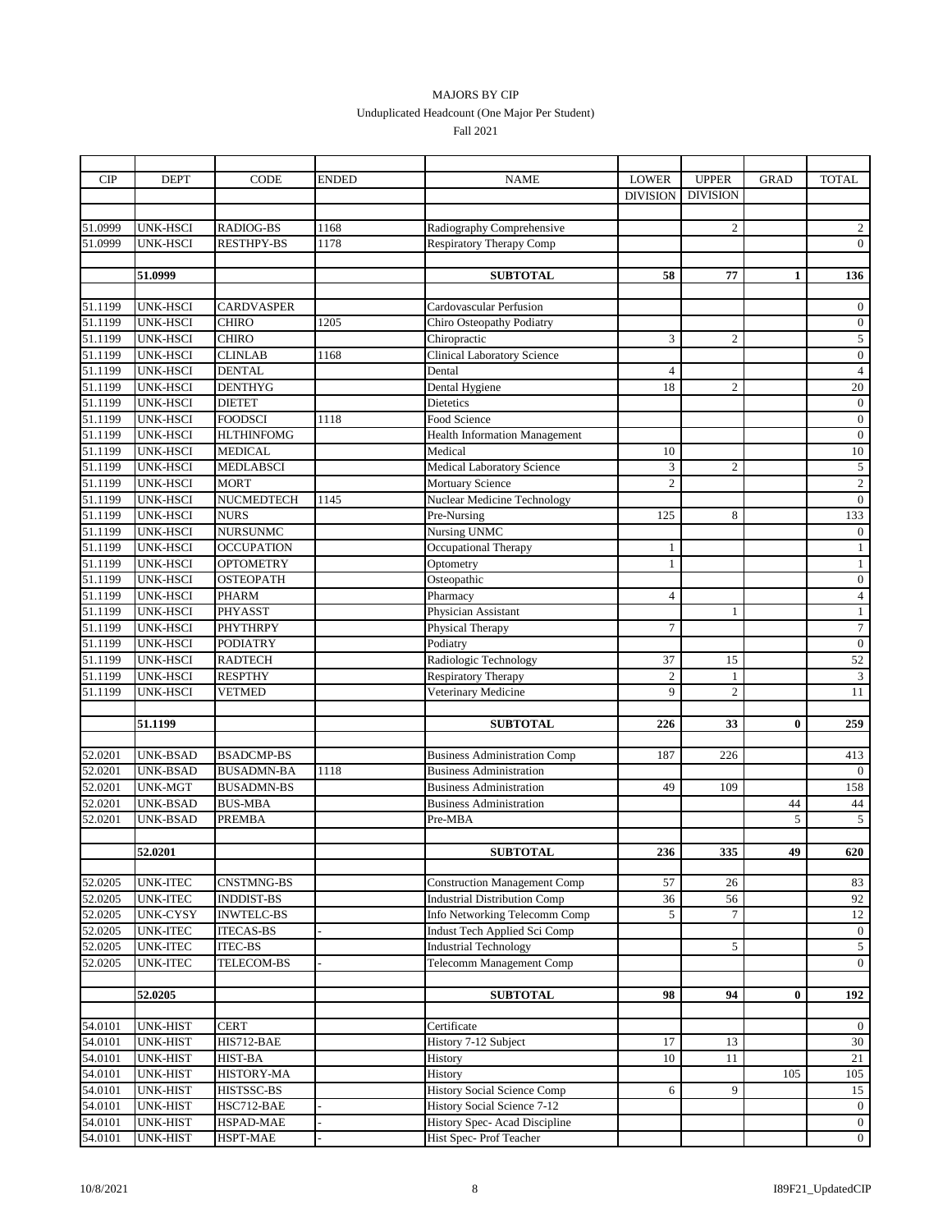| CIP     | <b>DEPT</b>     | CODE              | <b>ENDED</b> | <b>NAME</b>                          | <b>LOWER</b>    | <b>UPPER</b>    | <b>GRAD</b>  | <b>TOTAL</b>     |
|---------|-----------------|-------------------|--------------|--------------------------------------|-----------------|-----------------|--------------|------------------|
|         |                 |                   |              |                                      | <b>DIVISION</b> | <b>DIVISION</b> |              |                  |
|         |                 |                   |              |                                      |                 |                 |              |                  |
| 51.0999 | <b>UNK-HSCI</b> | RADIOG-BS         | 1168         | Radiography Comprehensive            |                 | 2               |              | 2                |
| 51.0999 | UNK-HSCI        | <b>RESTHPY-BS</b> | 1178         | <b>Respiratory Therapy Comp</b>      |                 |                 |              | $\overline{0}$   |
|         |                 |                   |              |                                      |                 |                 |              |                  |
|         | 51.0999         |                   |              | <b>SUBTOTAL</b>                      | 58              | 77              | $\mathbf{1}$ | 136              |
|         |                 |                   |              |                                      |                 |                 |              |                  |
| 51.1199 | <b>UNK-HSCI</b> | <b>CARDVASPER</b> |              | Cardovascular Perfusion              |                 |                 |              | $\boldsymbol{0}$ |
| 51.1199 | <b>UNK-HSCI</b> | <b>CHIRO</b>      | 1205         | Chiro Osteopathy Podiatry            |                 |                 |              | $\boldsymbol{0}$ |
| 51.1199 | <b>UNK-HSCI</b> | <b>CHIRO</b>      |              | Chiropractic                         | 3               | 2               |              | $5\,$            |
| 51.1199 | <b>UNK-HSCI</b> | <b>CLINLAB</b>    | 1168         | <b>Clinical Laboratory Science</b>   |                 |                 |              | $\boldsymbol{0}$ |
| 51.1199 | <b>UNK-HSCI</b> | <b>DENTAL</b>     |              | Dental                               | 4               |                 |              | $\overline{4}$   |
| 51.1199 | <b>UNK-HSCI</b> | <b>DENTHYG</b>    |              | Dental Hygiene                       | 18              | $\mathfrak{2}$  |              | $20\,$           |
| 51.1199 | <b>UNK-HSCI</b> | <b>DIETET</b>     |              | Dietetics                            |                 |                 |              | $\boldsymbol{0}$ |
| 51.1199 | <b>UNK-HSCI</b> | <b>FOODSCI</b>    | 1118         | Food Science                         |                 |                 |              | $\boldsymbol{0}$ |
| 51.1199 | <b>UNK-HSCI</b> | <b>HLTHINFOMG</b> |              | <b>Health Information Management</b> |                 |                 |              | $\boldsymbol{0}$ |
| 51.1199 | <b>UNK-HSCI</b> | <b>MEDICAL</b>    |              | Medical                              | 10              |                 |              | $10\,$           |
| 51.1199 | <b>UNK-HSCI</b> | <b>MEDLABSCI</b>  |              | Medical Laboratory Science           | 3               | $\overline{c}$  |              | $\overline{5}$   |
| 51.1199 | <b>UNK-HSCI</b> | <b>MORT</b>       |              | <b>Mortuary Science</b>              | $\mathbf{2}$    |                 |              | $\overline{2}$   |
| 51.1199 | <b>UNK-HSCI</b> | NUCMEDTECH        | 1145         | Nuclear Medicine Technology          |                 |                 |              | $\overline{0}$   |
| 51.1199 | <b>UNK-HSCI</b> | <b>NURS</b>       |              |                                      | 125             | 8               |              | 133              |
| 51.1199 | <b>UNK-HSCI</b> | <b>NURSUNMC</b>   |              | Pre-Nursing<br><b>Nursing UNMC</b>   |                 |                 |              |                  |
|         |                 |                   |              |                                      |                 |                 |              | $\boldsymbol{0}$ |
| 51.1199 | <b>UNK-HSCI</b> | <b>OCCUPATION</b> |              | Occupational Therapy                 | $\mathbf{1}$    |                 |              | $\mathbf{1}$     |
| 51.1199 | <b>UNK-HSCI</b> | <b>OPTOMETRY</b>  |              | Optometry                            | $\mathbf{1}$    |                 |              | $\mathbf{1}$     |
| 51.1199 | <b>UNK-HSCI</b> | <b>OSTEOPATH</b>  |              | Osteopathic                          |                 |                 |              | $\boldsymbol{0}$ |
| 51.1199 | <b>UNK-HSCI</b> | <b>PHARM</b>      |              | Pharmacy                             | $\overline{4}$  |                 |              | $\overline{4}$   |
| 51.1199 | <b>UNK-HSCI</b> | PHYASST           |              | Physician Assistant                  |                 | $\mathbf{1}$    |              | $\mathbf{1}$     |
| 51.1199 | <b>UNK-HSCI</b> | PHYTHRPY          |              | Physical Therapy                     | 7               |                 |              | $\overline{7}$   |
| 51.1199 | <b>UNK-HSCI</b> | <b>PODIATRY</b>   |              | Podiatry                             |                 |                 |              | $\mathbf{0}$     |
| 51.1199 | <b>UNK-HSCI</b> | <b>RADTECH</b>    |              | Radiologic Technology                | 37              | 15              |              | 52               |
| 51.1199 | <b>UNK-HSCI</b> | <b>RESPTHY</b>    |              | <b>Respiratory Therapy</b>           | $\overline{c}$  | $\mathbf{1}$    |              | $\overline{3}$   |
| 51.1199 | <b>UNK-HSCI</b> | <b>VETMED</b>     |              | Veterinary Medicine                  | $\overline{9}$  | $\mathfrak{2}$  |              | $\overline{11}$  |
|         |                 |                   |              |                                      |                 |                 |              |                  |
|         | 51.1199         |                   |              | <b>SUBTOTAL</b>                      | 226             | 33              | $\bf{0}$     | 259              |
|         |                 |                   |              |                                      |                 |                 |              |                  |
| 52.0201 | <b>UNK-BSAD</b> | <b>BSADCMP-BS</b> |              | <b>Business Administration Comp</b>  | 187             | 226             |              | 413              |
| 52.0201 | <b>UNK-BSAD</b> | <b>BUSADMN-BA</b> | 1118         | <b>Business Administration</b>       |                 |                 |              | $\overline{0}$   |
| 52.0201 | <b>UNK-MGT</b>  | <b>BUSADMN-BS</b> |              | <b>Business Administration</b>       | 49              | 109             |              | 158              |
| 52.0201 | <b>UNK-BSAD</b> | <b>BUS-MBA</b>    |              | <b>Business Administration</b>       |                 |                 | 44           | 44               |
| 52.0201 | UNK-BSAD        | <b>PREMBA</b>     |              | Pre-MBA                              |                 |                 | 5            | $5\overline{)}$  |
|         |                 |                   |              |                                      |                 |                 |              |                  |
|         | 52.0201         |                   |              | <b>SUBTOTAL</b>                      | 236             | 335             | 49           | 620              |
|         |                 |                   |              |                                      |                 |                 |              |                  |
| 52.0205 | <b>UNK-ITEC</b> | CNSTMNG-BS        |              | <b>Construction Management Comp</b>  | 57              | 26              |              | 83               |
| 52.0205 | <b>UNK-ITEC</b> | <b>INDDIST-BS</b> |              | <b>Industrial Distribution Comp</b>  | 36              | 56              |              | 92               |
| 52.0205 | <b>UNK-CYSY</b> | <b>INWTELC-BS</b> |              | Info Networking Telecomm Comp        | $5\overline{)}$ | $\tau$          |              | 12               |
| 52.0205 | <b>UNK-ITEC</b> | <b>ITECAS-BS</b>  |              | Indust Tech Applied Sci Comp         |                 |                 |              | $\overline{0}$   |
| 52.0205 | <b>UNK-ITEC</b> | <b>ITEC-BS</b>    |              | <b>Industrial Technology</b>         |                 | $5\overline{)}$ |              | $5\overline{)}$  |
| 52.0205 | <b>UNK-ITEC</b> | TELECOM-BS        |              | <b>Telecomm Management Comp</b>      |                 |                 |              | $\overline{0}$   |
|         |                 |                   |              |                                      |                 |                 |              |                  |
|         | 52.0205         |                   |              | <b>SUBTOTAL</b>                      | 98              | 94              | $\bf{0}$     | 192              |
|         |                 |                   |              |                                      |                 |                 |              |                  |
| 54.0101 | <b>UNK-HIST</b> | <b>CERT</b>       |              | Certificate                          |                 |                 |              | $\overline{0}$   |
| 54.0101 | UNK-HIST        | HIS712-BAE        |              | History 7-12 Subject                 | 17              | 13              |              | 30               |
| 54.0101 | <b>UNK-HIST</b> | HIST-BA           |              | History                              | 10              | 11              |              | 21               |
| 54.0101 | UNK-HIST        | HISTORY-MA        |              | History                              |                 |                 | 105          | 105              |
| 54.0101 | UNK-HIST        | HISTSSC-BS        |              | <b>History Social Science Comp</b>   | 6               | 9               |              | 15               |
| 54.0101 | UNK-HIST        | HSC712-BAE        |              | History Social Science 7-12          |                 |                 |              | $\mathbf{0}$     |
| 54.0101 | UNK-HIST        | HSPAD-MAE         |              | History Spec-Acad Discipline         |                 |                 |              | $\overline{0}$   |
| 54.0101 | UNK-HIST        | HSPT-MAE          |              | Hist Spec-Prof Teacher               |                 |                 |              | $\overline{0}$   |